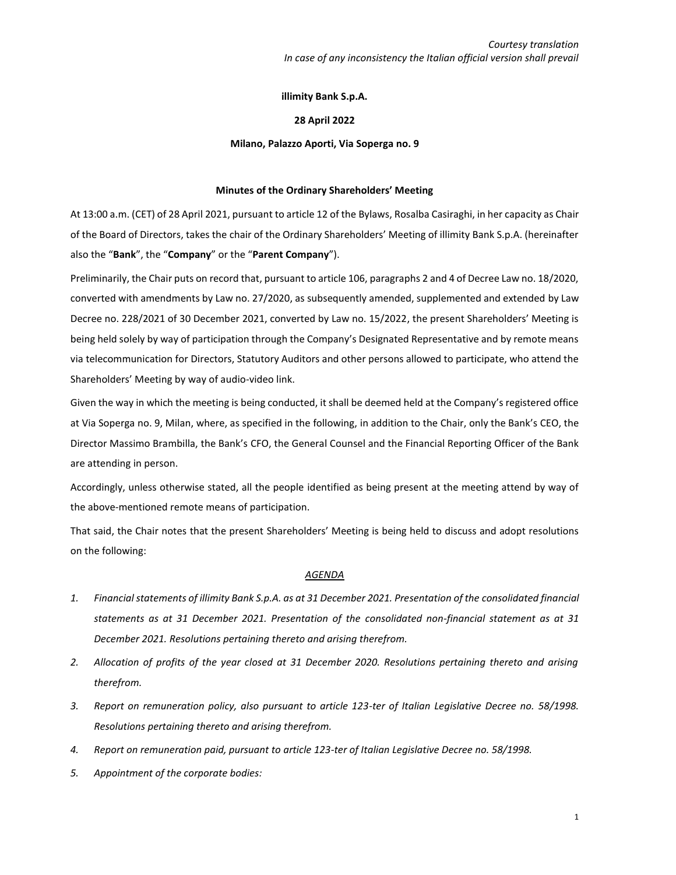# **illimity Bank S.p.A.**

# **28 April 2022**

### **Milano, Palazzo Aporti, Via Soperga no. 9**

### **Minutes of the Ordinary Shareholders' Meeting**

At 13:00 a.m. (CET) of 28 April 2021, pursuant to article 12 of the Bylaws, Rosalba Casiraghi, in her capacity as Chair of the Board of Directors, takes the chair of the Ordinary Shareholders' Meeting of illimity Bank S.p.A. (hereinafter also the "**Bank**", the "**Company**" or the "**Parent Company**").

Preliminarily, the Chair puts on record that, pursuant to article 106, paragraphs 2 and 4 of Decree Law no. 18/2020, converted with amendments by Law no. 27/2020, as subsequently amended, supplemented and extended by Law Decree no. 228/2021 of 30 December 2021, converted by Law no. 15/2022, the present Shareholders' Meeting is being held solely by way of participation through the Company's Designated Representative and by remote means via telecommunication for Directors, Statutory Auditors and other persons allowed to participate, who attend the Shareholders' Meeting by way of audio-video link.

Given the way in which the meeting is being conducted, it shall be deemed held at the Company's registered office at Via Soperga no. 9, Milan, where, as specified in the following, in addition to the Chair, only the Bank's CEO, the Director Massimo Brambilla, the Bank's CFO, the General Counsel and the Financial Reporting Officer of the Bank are attending in person.

Accordingly, unless otherwise stated, all the people identified as being present at the meeting attend by way of the above-mentioned remote means of participation.

That said, the Chair notes that the present Shareholders' Meeting is being held to discuss and adopt resolutions on the following:

# *AGENDA*

- *1. Financial statements of illimity Bank S.p.A. as at 31 December 2021. Presentation of the consolidated financial statements as at 31 December 2021. Presentation of the consolidated non-financial statement as at 31 December 2021. Resolutions pertaining thereto and arising therefrom.*
- *2. Allocation of profits of the year closed at 31 December 2020. Resolutions pertaining thereto and arising therefrom.*
- *3. Report on remuneration policy, also pursuant to article 123-ter of Italian Legislative Decree no. 58/1998. Resolutions pertaining thereto and arising therefrom.*
- *4. Report on remuneration paid, pursuant to article 123-ter of Italian Legislative Decree no. 58/1998.*
- *5. Appointment of the corporate bodies:*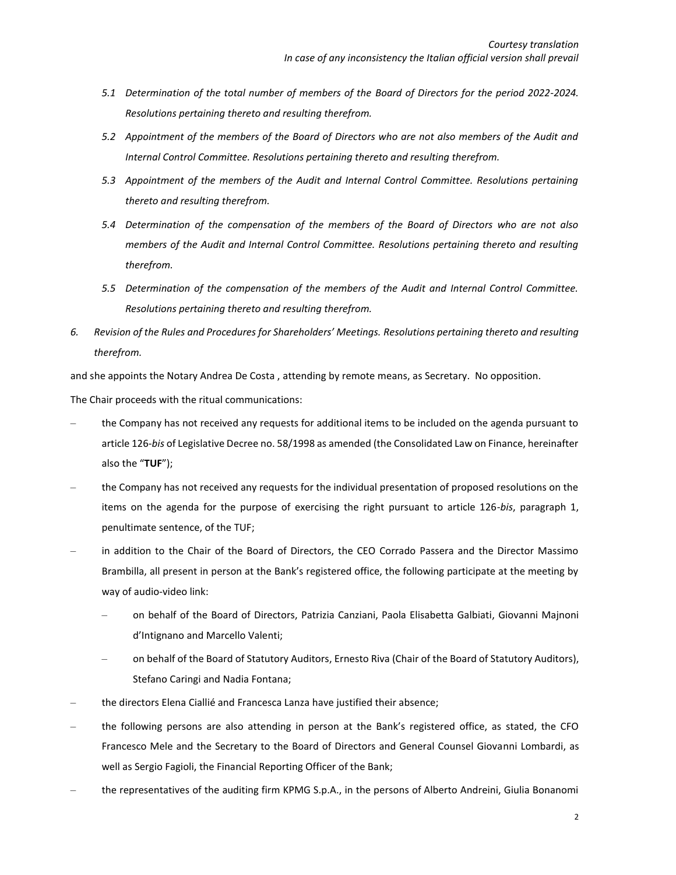- *5.1 Determination of the total number of members of the Board of Directors for the period 2022-2024. Resolutions pertaining thereto and resulting therefrom.*
- *5.2 Appointment of the members of the Board of Directors who are not also members of the Audit and Internal Control Committee. Resolutions pertaining thereto and resulting therefrom.*
- *5.3 Appointment of the members of the Audit and Internal Control Committee. Resolutions pertaining thereto and resulting therefrom.*
- *5.4 Determination of the compensation of the members of the Board of Directors who are not also members of the Audit and Internal Control Committee. Resolutions pertaining thereto and resulting therefrom.*
- *5.5 Determination of the compensation of the members of the Audit and Internal Control Committee. Resolutions pertaining thereto and resulting therefrom.*
- *6. Revision of the Rules and Procedures for Shareholders' Meetings. Resolutions pertaining thereto and resulting therefrom.*

and she appoints the Notary Andrea De Costa , attending by remote means, as Secretary. No opposition.

The Chair proceeds with the ritual communications:

- ‒ the Company has not received any requests for additional items to be included on the agenda pursuant to article 126-*bis* of Legislative Decree no. 58/1998 as amended (the Consolidated Law on Finance, hereinafter also the "**TUF**");
- ‒ the Company has not received any requests for the individual presentation of proposed resolutions on the items on the agenda for the purpose of exercising the right pursuant to article 126-*bis*, paragraph 1, penultimate sentence, of the TUF;
- ‒ in addition to the Chair of the Board of Directors, the CEO Corrado Passera and the Director Massimo Brambilla, all present in person at the Bank's registered office, the following participate at the meeting by way of audio-video link:
	- ‒ on behalf of the Board of Directors, Patrizia Canziani, Paola Elisabetta Galbiati, Giovanni Majnoni d'Intignano and Marcello Valenti;
	- ‒ on behalf of the Board of Statutory Auditors, Ernesto Riva (Chair of the Board of Statutory Auditors), Stefano Caringi and Nadia Fontana;
- ‒ the directors Elena Ciallié and Francesca Lanza have justified their absence;
- ‒ the following persons are also attending in person at the Bank's registered office, as stated, the CFO Francesco Mele and the Secretary to the Board of Directors and General Counsel Giovanni Lombardi, as well as Sergio Fagioli, the Financial Reporting Officer of the Bank;
- ‒ the representatives of the auditing firm KPMG S.p.A., in the persons of Alberto Andreini, Giulia Bonanomi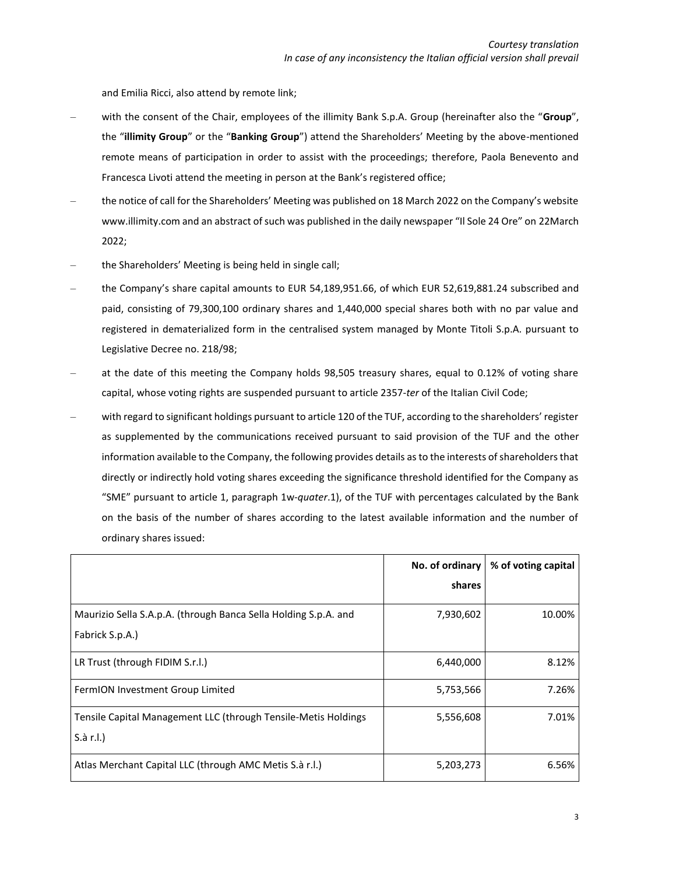and Emilia Ricci, also attend by remote link;

- ‒ with the consent of the Chair, employees of the illimity Bank S.p.A. Group (hereinafter also the "**Group**", the "**illimity Group**" or the "**Banking Group**") attend the Shareholders' Meeting by the above-mentioned remote means of participation in order to assist with the proceedings; therefore, Paola Benevento and Francesca Livoti attend the meeting in person at the Bank's registered office;
- ‒ the notice of call for the Shareholders' Meeting was published on 18 March 2022 on the Company's website www.illimity.com and an abstract of such was published in the daily newspaper "Il Sole 24 Ore" on 22March 2022;
- ‒ the Shareholders' Meeting is being held in single call;
- ‒ the Company's share capital amounts to EUR 54,189,951.66, of which EUR 52,619,881.24 subscribed and paid, consisting of 79,300,100 ordinary shares and 1,440,000 special shares both with no par value and registered in dematerialized form in the centralised system managed by Monte Titoli S.p.A. pursuant to Legislative Decree no. 218/98;
- ‒ at the date of this meeting the Company holds 98,505 treasury shares, equal to 0.12% of voting share capital, whose voting rights are suspended pursuant to article 2357-*ter* of the Italian Civil Code;
- ‒ with regard to significant holdings pursuant to article 120 of the TUF, according to the shareholders' register as supplemented by the communications received pursuant to said provision of the TUF and the other information available to the Company, the following provides details as to the interests of shareholders that directly or indirectly hold voting shares exceeding the significance threshold identified for the Company as "SME" pursuant to article 1, paragraph 1w-*quater*.1), of the TUF with percentages calculated by the Bank on the basis of the number of shares according to the latest available information and the number of ordinary shares issued:

|                                                                                    | No. of ordinary | % of voting capital |
|------------------------------------------------------------------------------------|-----------------|---------------------|
|                                                                                    | shares          |                     |
| Maurizio Sella S.A.p.A. (through Banca Sella Holding S.p.A. and<br>Fabrick S.p.A.) | 7,930,602       | 10.00%              |
| LR Trust (through FIDIM S.r.l.)                                                    | 6,440,000       | 8.12%               |
| FermION Investment Group Limited                                                   | 5,753,566       | 7.26%               |
| Tensile Capital Management LLC (through Tensile-Metis Holdings<br>S.à r.l.)        | 5,556,608       | 7.01%               |
| Atlas Merchant Capital LLC (through AMC Metis S.à r.l.)                            | 5,203,273       | 6.56%               |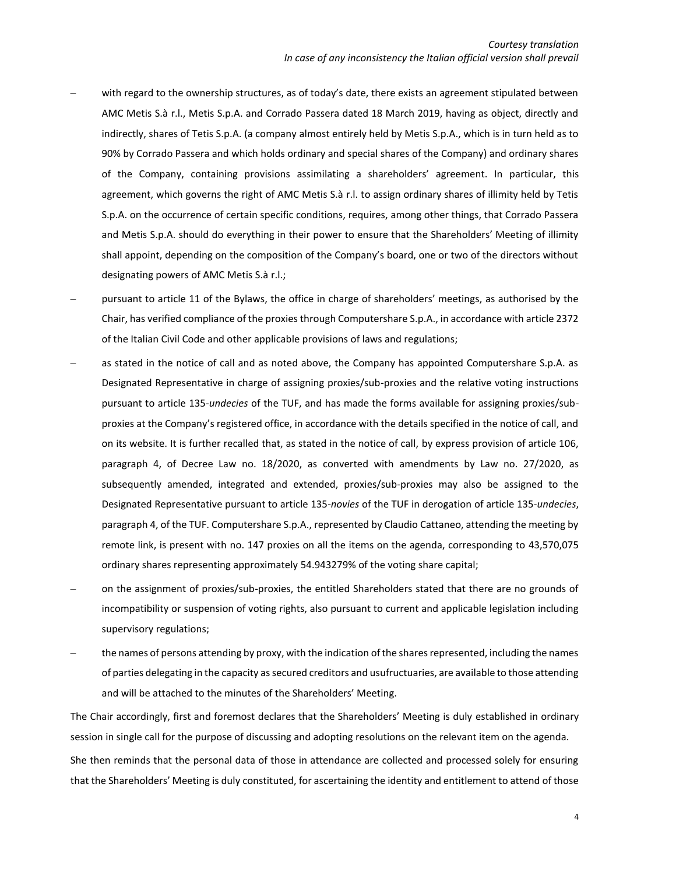- with regard to the ownership structures, as of today's date, there exists an agreement stipulated between AMC Metis S.à r.l., Metis S.p.A. and Corrado Passera dated 18 March 2019, having as object, directly and indirectly, shares of Tetis S.p.A. (a company almost entirely held by Metis S.p.A., which is in turn held as to 90% by Corrado Passera and which holds ordinary and special shares of the Company) and ordinary shares of the Company, containing provisions assimilating a shareholders' agreement. In particular, this agreement, which governs the right of AMC Metis S.à r.l. to assign ordinary shares of illimity held by Tetis S.p.A. on the occurrence of certain specific conditions, requires, among other things, that Corrado Passera and Metis S.p.A. should do everything in their power to ensure that the Shareholders' Meeting of illimity shall appoint, depending on the composition of the Company's board, one or two of the directors without designating powers of AMC Metis S.à r.l.;
- ‒ pursuant to article 11 of the Bylaws, the office in charge of shareholders' meetings, as authorised by the Chair, has verified compliance of the proxies through Computershare S.p.A., in accordance with article 2372 of the Italian Civil Code and other applicable provisions of laws and regulations;
- ‒ as stated in the notice of call and as noted above, the Company has appointed Computershare S.p.A. as Designated Representative in charge of assigning proxies/sub-proxies and the relative voting instructions pursuant to article 135-*undecies* of the TUF, and has made the forms available for assigning proxies/subproxies at the Company's registered office, in accordance with the details specified in the notice of call, and on its website. It is further recalled that, as stated in the notice of call, by express provision of article 106, paragraph 4, of Decree Law no. 18/2020, as converted with amendments by Law no. 27/2020, as subsequently amended, integrated and extended, proxies/sub-proxies may also be assigned to the Designated Representative pursuant to article 135-*novies* of the TUF in derogation of article 135-*undecies*, paragraph 4, of the TUF. Computershare S.p.A., represented by Claudio Cattaneo, attending the meeting by remote link, is present with no. 147 proxies on all the items on the agenda, corresponding to 43,570,075 ordinary shares representing approximately 54.943279% of the voting share capital;
- ‒ on the assignment of proxies/sub-proxies, the entitled Shareholders stated that there are no grounds of incompatibility or suspension of voting rights, also pursuant to current and applicable legislation including supervisory regulations;
- ‒ the names of persons attending by proxy, with the indication of the shares represented, including the names of parties delegating in the capacity as secured creditors and usufructuaries, are available to those attending and will be attached to the minutes of the Shareholders' Meeting.

The Chair accordingly, first and foremost declares that the Shareholders' Meeting is duly established in ordinary session in single call for the purpose of discussing and adopting resolutions on the relevant item on the agenda.

She then reminds that the personal data of those in attendance are collected and processed solely for ensuring that the Shareholders' Meeting is duly constituted, for ascertaining the identity and entitlement to attend of those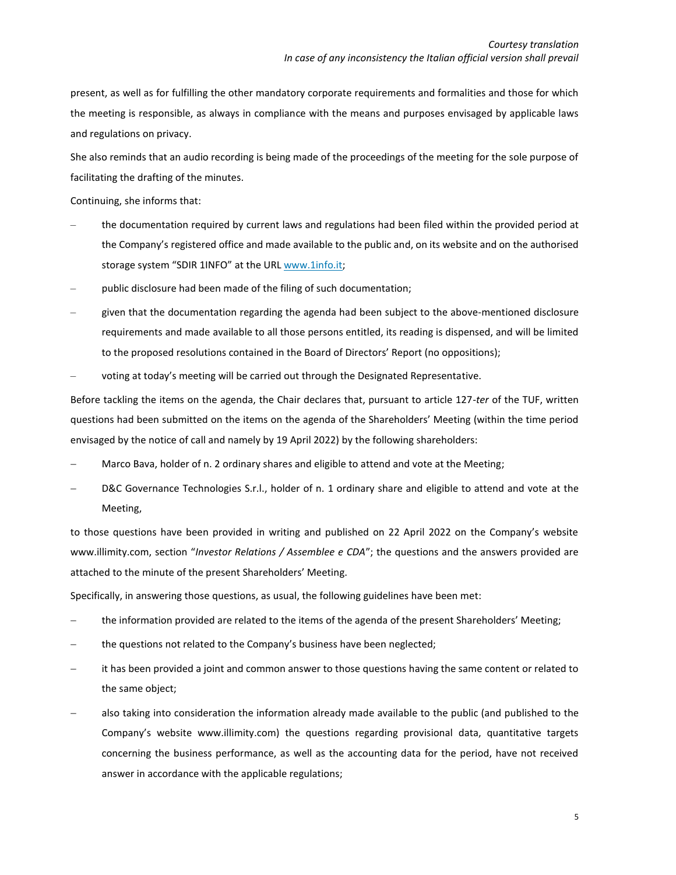present, as well as for fulfilling the other mandatory corporate requirements and formalities and those for which the meeting is responsible, as always in compliance with the means and purposes envisaged by applicable laws and regulations on privacy.

She also reminds that an audio recording is being made of the proceedings of the meeting for the sole purpose of facilitating the drafting of the minutes.

Continuing, she informs that:

- ‒ the documentation required by current laws and regulations had been filed within the provided period at the Company's registered office and made available to the public and, on its website and on the authorised storage system "SDIR 1INFO" at the URL [www.1info.it;](http://www.1info.it/)
- public disclosure had been made of the filing of such documentation;
- ‒ given that the documentation regarding the agenda had been subject to the above-mentioned disclosure requirements and made available to all those persons entitled, its reading is dispensed, and will be limited to the proposed resolutions contained in the Board of Directors' Report (no oppositions);
- voting at today's meeting will be carried out through the Designated Representative.

Before tackling the items on the agenda, the Chair declares that, pursuant to article 127-*ter* of the TUF, written questions had been submitted on the items on the agenda of the Shareholders' Meeting (within the time period envisaged by the notice of call and namely by 19 April 2022) by the following shareholders:

- Marco Bava, holder of n. 2 ordinary shares and eligible to attend and vote at the Meeting;
- D&C Governance Technologies S.r.l., holder of n. 1 ordinary share and eligible to attend and vote at the Meeting,

to those questions have been provided in writing and published on 22 April 2022 on the Company's website www.illimity.com, section "*Investor Relations / Assemblee e CDA*"; the questions and the answers provided are attached to the minute of the present Shareholders' Meeting.

Specifically, in answering those questions, as usual, the following guidelines have been met:

- the information provided are related to the items of the agenda of the present Shareholders' Meeting;
- the questions not related to the Company's business have been neglected;
- it has been provided a joint and common answer to those questions having the same content or related to the same object;
- also taking into consideration the information already made available to the public (and published to the Company's website www.illimity.com) the questions regarding provisional data, quantitative targets concerning the business performance, as well as the accounting data for the period, have not received answer in accordance with the applicable regulations;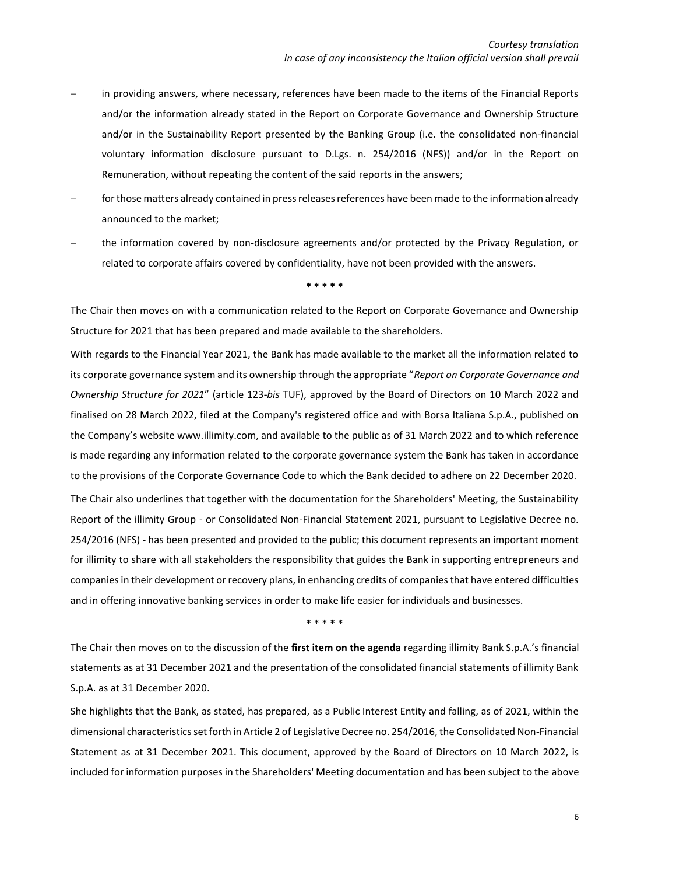- in providing answers, where necessary, references have been made to the items of the Financial Reports and/or the information already stated in the Report on Corporate Governance and Ownership Structure and/or in the Sustainability Report presented by the Banking Group (i.e. the consolidated non-financial voluntary information disclosure pursuant to D.Lgs. n. 254/2016 (NFS)) and/or in the Report on Remuneration, without repeating the content of the said reports in the answers;
- for those matters already contained in press releases references have been made to the information already announced to the market;
- the information covered by non-disclosure agreements and/or protected by the Privacy Regulation, or related to corporate affairs covered by confidentiality, have not been provided with the answers.

#### **\* \* \* \* \***

The Chair then moves on with a communication related to the Report on Corporate Governance and Ownership Structure for 2021 that has been prepared and made available to the shareholders.

With regards to the Financial Year 2021, the Bank has made available to the market all the information related to its corporate governance system and its ownership through the appropriate "*Report on Corporate Governance and Ownership Structure for 2021*" (article 123-*bis* TUF), approved by the Board of Directors on 10 March 2022 and finalised on 28 March 2022, filed at the Company's registered office and with Borsa Italiana S.p.A., published on the Company's website www.illimity.com, and available to the public as of 31 March 2022 and to which reference is made regarding any information related to the corporate governance system the Bank has taken in accordance to the provisions of the Corporate Governance Code to which the Bank decided to adhere on 22 December 2020. The Chair also underlines that together with the documentation for the Shareholders' Meeting, the Sustainability Report of the illimity Group - or Consolidated Non-Financial Statement 2021, pursuant to Legislative Decree no. 254/2016 (NFS) - has been presented and provided to the public; this document represents an important moment for illimity to share with all stakeholders the responsibility that guides the Bank in supporting entrepreneurs and companies in their development or recovery plans, in enhancing credits of companies that have entered difficulties and in offering innovative banking services in order to make life easier for individuals and businesses.

**\* \* \* \* \***

The Chair then moves on to the discussion of the **first item on the agenda** regarding illimity Bank S.p.A.'s financial statements as at 31 December 2021 and the presentation of the consolidated financial statements of illimity Bank S.p.A. as at 31 December 2020.

She highlights that the Bank, as stated, has prepared, as a Public Interest Entity and falling, as of 2021, within the dimensional characteristics set forth in Article 2 of Legislative Decree no. 254/2016, the Consolidated Non-Financial Statement as at 31 December 2021. This document, approved by the Board of Directors on 10 March 2022, is included for information purposes in the Shareholders' Meeting documentation and has been subject to the above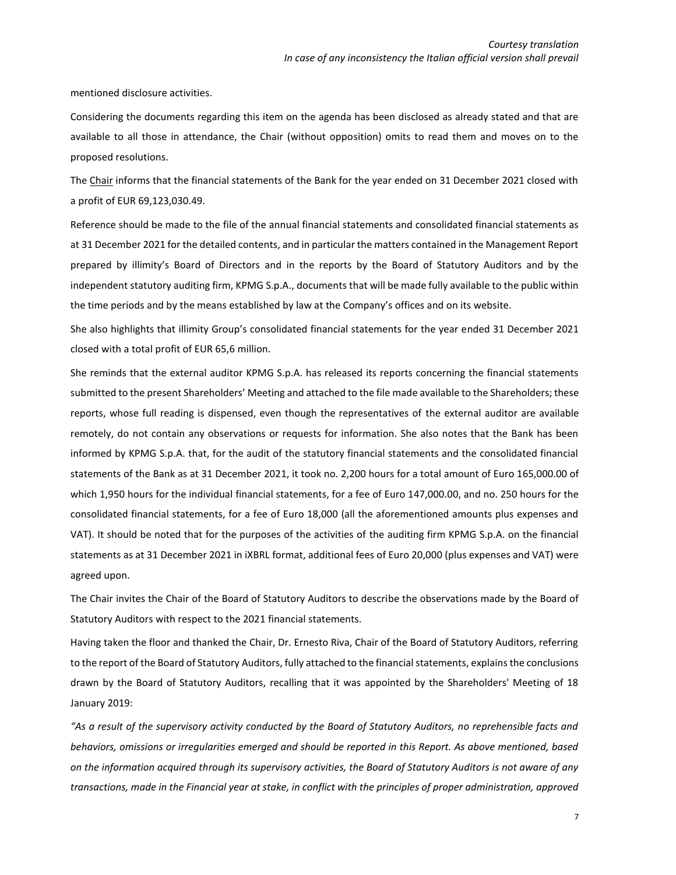mentioned disclosure activities.

Considering the documents regarding this item on the agenda has been disclosed as already stated and that are available to all those in attendance, the Chair (without opposition) omits to read them and moves on to the proposed resolutions.

The Chair informs that the financial statements of the Bank for the year ended on 31 December 2021 closed with a profit of EUR 69,123,030.49.

Reference should be made to the file of the annual financial statements and consolidated financial statements as at 31 December 2021 for the detailed contents, and in particular the matters contained in the Management Report prepared by illimity's Board of Directors and in the reports by the Board of Statutory Auditors and by the independent statutory auditing firm, KPMG S.p.A., documents that will be made fully available to the public within the time periods and by the means established by law at the Company's offices and on its website.

She also highlights that illimity Group's consolidated financial statements for the year ended 31 December 2021 closed with a total profit of EUR 65,6 million.

She reminds that the external auditor KPMG S.p.A. has released its reports concerning the financial statements submitted to the present Shareholders' Meeting and attached to the file made available to the Shareholders; these reports, whose full reading is dispensed, even though the representatives of the external auditor are available remotely, do not contain any observations or requests for information. She also notes that the Bank has been informed by KPMG S.p.A. that, for the audit of the statutory financial statements and the consolidated financial statements of the Bank as at 31 December 2021, it took no. 2,200 hours for a total amount of Euro 165,000.00 of which 1,950 hours for the individual financial statements, for a fee of Euro 147,000.00, and no. 250 hours for the consolidated financial statements, for a fee of Euro 18,000 (all the aforementioned amounts plus expenses and VAT). It should be noted that for the purposes of the activities of the auditing firm KPMG S.p.A. on the financial statements as at 31 December 2021 in iXBRL format, additional fees of Euro 20,000 (plus expenses and VAT) were agreed upon.

The Chair invites the Chair of the Board of Statutory Auditors to describe the observations made by the Board of Statutory Auditors with respect to the 2021 financial statements.

Having taken the floor and thanked the Chair, Dr. Ernesto Riva, Chair of the Board of Statutory Auditors, referring to the report of the Board of Statutory Auditors, fully attached to the financial statements, explains the conclusions drawn by the Board of Statutory Auditors, recalling that it was appointed by the Shareholders' Meeting of 18 January 2019:

*"As a result of the supervisory activity conducted by the Board of Statutory Auditors, no reprehensible facts and behaviors, omissions or irregularities emerged and should be reported in this Report. As above mentioned, based on the information acquired through its supervisory activities, the Board of Statutory Auditors is not aware of any transactions, made in the Financial year at stake, in conflict with the principles of proper administration, approved*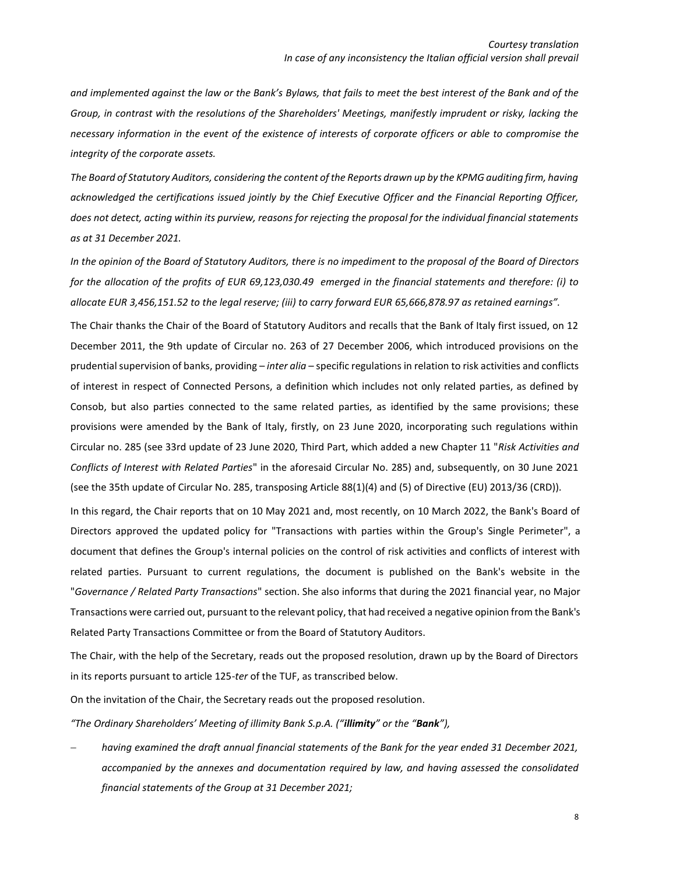*and implemented against the law or the Bank's Bylaws, that fails to meet the best interest of the Bank and of the Group, in contrast with the resolutions of the Shareholders' Meetings, manifestly imprudent or risky, lacking the necessary information in the event of the existence of interests of corporate officers or able to compromise the integrity of the corporate assets.* 

*The Board of Statutory Auditors, considering the content of the Reports drawn up by the KPMG auditing firm, having acknowledged the certifications issued jointly by the Chief Executive Officer and the Financial Reporting Officer, does not detect, acting within its purview, reasons for rejecting the proposal for the individual financial statements as at 31 December 2021.*

*In the opinion of the Board of Statutory Auditors, there is no impediment to the proposal of the Board of Directors for the allocation of the profits of EUR 69,123,030.49 emerged in the financial statements and therefore: (i) to allocate EUR 3,456,151.52 to the legal reserve; (iii) to carry forward EUR 65,666,878.97 as retained earnings".*

The Chair thanks the Chair of the Board of Statutory Auditors and recalls that the Bank of Italy first issued, on 12 December 2011, the 9th update of Circular no. 263 of 27 December 2006, which introduced provisions on the prudential supervision of banks, providing – *inter alia* – specific regulations in relation to risk activities and conflicts of interest in respect of Connected Persons, a definition which includes not only related parties, as defined by Consob, but also parties connected to the same related parties, as identified by the same provisions; these provisions were amended by the Bank of Italy, firstly, on 23 June 2020, incorporating such regulations within Circular no. 285 (see 33rd update of 23 June 2020, Third Part, which added a new Chapter 11 "*Risk Activities and Conflicts of Interest with Related Parties*" in the aforesaid Circular No. 285) and, subsequently, on 30 June 2021 (see the 35th update of Circular No. 285, transposing Article 88(1)(4) and (5) of Directive (EU) 2013/36 (CRD)).

In this regard, the Chair reports that on 10 May 2021 and, most recently, on 10 March 2022, the Bank's Board of Directors approved the updated policy for "Transactions with parties within the Group's Single Perimeter", a document that defines the Group's internal policies on the control of risk activities and conflicts of interest with related parties. Pursuant to current regulations, the document is published on the Bank's website in the "*Governance / Related Party Transactions*" section. She also informs that during the 2021 financial year, no Major Transactions were carried out, pursuant to the relevant policy, that had received a negative opinion from the Bank's Related Party Transactions Committee or from the Board of Statutory Auditors.

The Chair, with the help of the Secretary, reads out the proposed resolution, drawn up by the Board of Directors in its reports pursuant to article 125-*ter* of the TUF, as transcribed below.

On the invitation of the Chair, the Secretary reads out the proposed resolution.

*"The Ordinary Shareholders' Meeting of illimity Bank S.p.A. ("illimity" or the "Bank"),*

− *having examined the draft annual financial statements of the Bank for the year ended 31 December 2021, accompanied by the annexes and documentation required by law, and having assessed the consolidated financial statements of the Group at 31 December 2021;*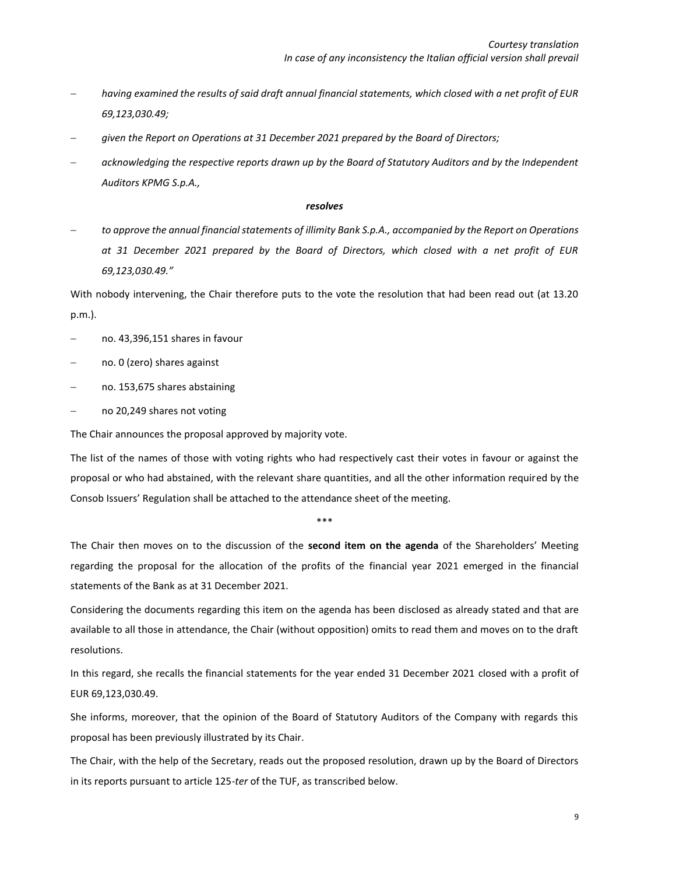- − *having examined the results of said draft annual financial statements, which closed with a net profit of EUR 69,123,030.49;*
- − *given the Report on Operations at 31 December 2021 prepared by the Board of Directors;*
- − *acknowledging the respective reports drawn up by the Board of Statutory Auditors and by the Independent Auditors KPMG S.p.A.,*

### *resolves*

− *to approve the annual financial statements of illimity Bank S.p.A., accompanied by the Report on Operations at 31 December 2021 prepared by the Board of Directors, which closed with a net profit of EUR 69,123,030.49."*

With nobody intervening, the Chair therefore puts to the vote the resolution that had been read out (at 13.20 p.m.).

- − no. 43,396,151 shares in favour
- − no. 0 (zero) shares against
- − no. 153,675 shares abstaining
- − no 20,249 shares not voting

The Chair announces the proposal approved by majority vote.

The list of the names of those with voting rights who had respectively cast their votes in favour or against the proposal or who had abstained, with the relevant share quantities, and all the other information required by the Consob Issuers' Regulation shall be attached to the attendance sheet of the meeting.

\*\*\*

The Chair then moves on to the discussion of the **second item on the agenda** of the Shareholders' Meeting regarding the proposal for the allocation of the profits of the financial year 2021 emerged in the financial statements of the Bank as at 31 December 2021.

Considering the documents regarding this item on the agenda has been disclosed as already stated and that are available to all those in attendance, the Chair (without opposition) omits to read them and moves on to the draft resolutions.

In this regard, she recalls the financial statements for the year ended 31 December 2021 closed with a profit of EUR 69,123,030.49.

She informs, moreover, that the opinion of the Board of Statutory Auditors of the Company with regards this proposal has been previously illustrated by its Chair.

The Chair, with the help of the Secretary, reads out the proposed resolution, drawn up by the Board of Directors in its reports pursuant to article 125-*ter* of the TUF, as transcribed below.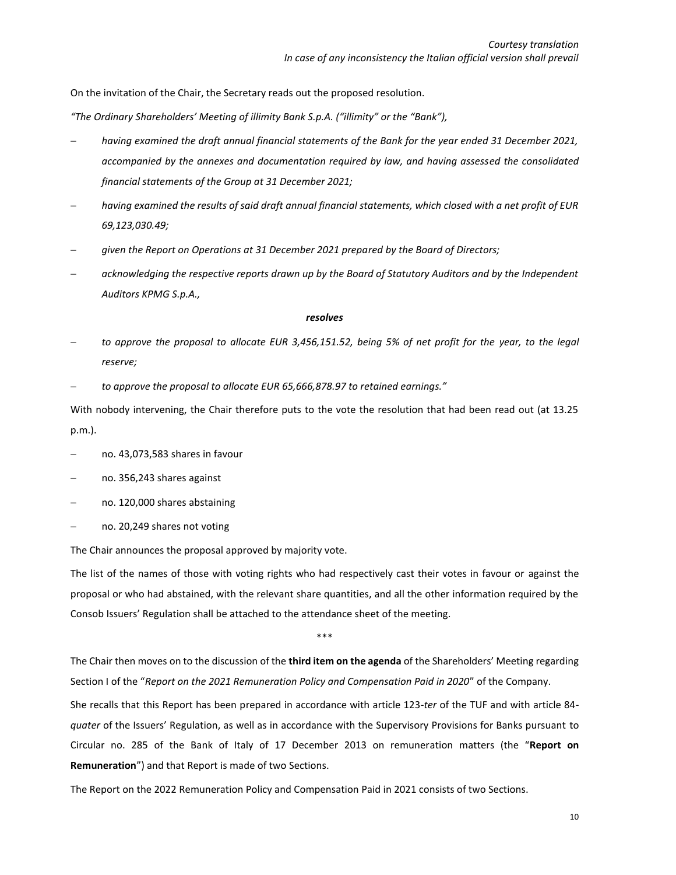On the invitation of the Chair, the Secretary reads out the proposed resolution.

*"The Ordinary Shareholders' Meeting of illimity Bank S.p.A. ("illimity" or the "Bank"),*

- − *having examined the draft annual financial statements of the Bank for the year ended 31 December 2021, accompanied by the annexes and documentation required by law, and having assessed the consolidated financial statements of the Group at 31 December 2021;*
- − *having examined the results of said draft annual financial statements, which closed with a net profit of EUR 69,123,030.49;*
- − *given the Report on Operations at 31 December 2021 prepared by the Board of Directors;*
- − *acknowledging the respective reports drawn up by the Board of Statutory Auditors and by the Independent Auditors KPMG S.p.A.,*

#### *resolves*

- − *to approve the proposal to allocate EUR 3,456,151.52, being 5% of net profit for the year, to the legal reserve;*
- − *to approve the proposal to allocate EUR 65,666,878.97 to retained earnings."*

With nobody intervening, the Chair therefore puts to the vote the resolution that had been read out (at 13.25 p.m.).

- − no. 43,073,583 shares in favour
- − no. 356,243 shares against
- − no. 120,000 shares abstaining
- − no. 20,249 shares not voting

The Chair announces the proposal approved by majority vote.

The list of the names of those with voting rights who had respectively cast their votes in favour or against the proposal or who had abstained, with the relevant share quantities, and all the other information required by the Consob Issuers' Regulation shall be attached to the attendance sheet of the meeting.

\*\*\*

The Chair then moves on to the discussion of the **third item on the agenda** of the Shareholders' Meeting regarding Section I of the "*Report on the 2021 Remuneration Policy and Compensation Paid in 2020*" of the Company.

She recalls that this Report has been prepared in accordance with article 123-*ter* of the TUF and with article 84 *quater* of the Issuers' Regulation, as well as in accordance with the Supervisory Provisions for Banks pursuant to Circular no. 285 of the Bank of Italy of 17 December 2013 on remuneration matters (the "**Report on Remuneration**") and that Report is made of two Sections.

The Report on the 2022 Remuneration Policy and Compensation Paid in 2021 consists of two Sections.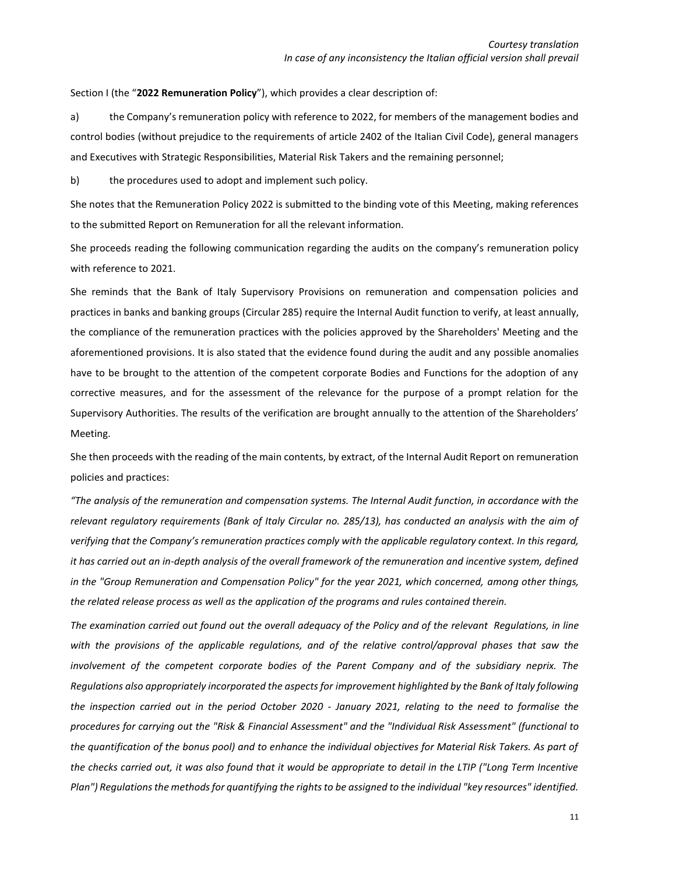Section I (the "**2022 Remuneration Policy**"), which provides a clear description of:

a) the Company's remuneration policy with reference to 2022, for members of the management bodies and control bodies (without prejudice to the requirements of article 2402 of the Italian Civil Code), general managers and Executives with Strategic Responsibilities, Material Risk Takers and the remaining personnel;

b) the procedures used to adopt and implement such policy.

She notes that the Remuneration Policy 2022 is submitted to the binding vote of this Meeting, making references to the submitted Report on Remuneration for all the relevant information.

She proceeds reading the following communication regarding the audits on the company's remuneration policy with reference to 2021.

She reminds that the Bank of Italy Supervisory Provisions on remuneration and compensation policies and practices in banks and banking groups (Circular 285) require the Internal Audit function to verify, at least annually, the compliance of the remuneration practices with the policies approved by the Shareholders' Meeting and the aforementioned provisions. It is also stated that the evidence found during the audit and any possible anomalies have to be brought to the attention of the competent corporate Bodies and Functions for the adoption of any corrective measures, and for the assessment of the relevance for the purpose of a prompt relation for the Supervisory Authorities. The results of the verification are brought annually to the attention of the Shareholders' Meeting.

She then proceeds with the reading of the main contents, by extract, of the Internal Audit Report on remuneration policies and practices:

*"The analysis of the remuneration and compensation systems. The Internal Audit function, in accordance with the relevant regulatory requirements (Bank of Italy Circular no. 285/13), has conducted an analysis with the aim of verifying that the Company's remuneration practices comply with the applicable regulatory context. In this regard, it has carried out an in-depth analysis of the overall framework of the remuneration and incentive system, defined in the "Group Remuneration and Compensation Policy" for the year 2021, which concerned, among other things, the related release process as well as the application of the programs and rules contained therein.*

*The examination carried out found out the overall adequacy of the Policy and of the relevant Regulations, in line with the provisions of the applicable regulations, and of the relative control/approval phases that saw the involvement of the competent corporate bodies of the Parent Company and of the subsidiary neprix. The Regulations also appropriately incorporated the aspects for improvement highlighted by the Bank of Italy following the inspection carried out in the period October 2020 - January 2021, relating to the need to formalise the procedures for carrying out the "Risk & Financial Assessment" and the "Individual Risk Assessment" (functional to the quantification of the bonus pool) and to enhance the individual objectives for Material Risk Takers. As part of the checks carried out, it was also found that it would be appropriate to detail in the LTIP ("Long Term Incentive Plan") Regulations the methods for quantifying the rights to be assigned to the individual "key resources" identified.*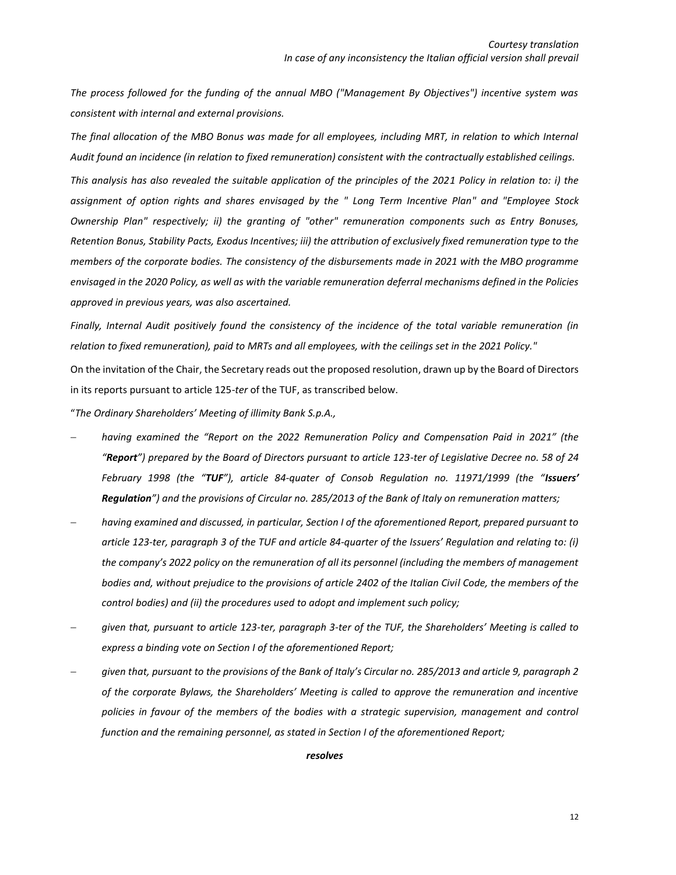*The process followed for the funding of the annual MBO ("Management By Objectives") incentive system was consistent with internal and external provisions.* 

*The final allocation of the MBO Bonus was made for all employees, including MRT, in relation to which Internal Audit found an incidence (in relation to fixed remuneration) consistent with the contractually established ceilings.*

*This analysis has also revealed the suitable application of the principles of the 2021 Policy in relation to: i) the assignment of option rights and shares envisaged by the " Long Term Incentive Plan" and "Employee Stock Ownership Plan" respectively; ii) the granting of "other" remuneration components such as Entry Bonuses, Retention Bonus, Stability Pacts, Exodus Incentives; iii) the attribution of exclusively fixed remuneration type to the members of the corporate bodies. The consistency of the disbursements made in 2021 with the MBO programme envisaged in the 2020 Policy, as well as with the variable remuneration deferral mechanisms defined in the Policies approved in previous years, was also ascertained.* 

*Finally, Internal Audit positively found the consistency of the incidence of the total variable remuneration (in relation to fixed remuneration), paid to MRTs and all employees, with the ceilings set in the 2021 Policy."*

On the invitation of the Chair, the Secretary reads out the proposed resolution, drawn up by the Board of Directors in its reports pursuant to article 125-*ter* of the TUF, as transcribed below.

"*The Ordinary Shareholders' Meeting of illimity Bank S.p.A.,*

- − *having examined the "Report on the 2022 Remuneration Policy and Compensation Paid in 2021" (the "Report") prepared by the Board of Directors pursuant to article 123-ter of Legislative Decree no. 58 of 24 February 1998 (the "TUF"), article 84-quater of Consob Regulation no. 11971/1999 (the "Issuers' Regulation") and the provisions of Circular no. 285/2013 of the Bank of Italy on remuneration matters;*
- − *having examined and discussed, in particular, Section I of the aforementioned Report, prepared pursuant to article 123-ter, paragraph 3 of the TUF and article 84-quarter of the Issuers' Regulation and relating to: (i) the company's 2022 policy on the remuneration of all its personnel (including the members of management bodies and, without prejudice to the provisions of article 2402 of the Italian Civil Code, the members of the control bodies) and (ii) the procedures used to adopt and implement such policy;*
- − *given that, pursuant to article 123-ter, paragraph 3-ter of the TUF, the Shareholders' Meeting is called to express a binding vote on Section I of the aforementioned Report;*
- − *given that, pursuant to the provisions of the Bank of Italy's Circular no. 285/2013 and article 9, paragraph 2 of the corporate Bylaws, the Shareholders' Meeting is called to approve the remuneration and incentive policies in favour of the members of the bodies with a strategic supervision, management and control function and the remaining personnel, as stated in Section I of the aforementioned Report;*

#### *resolves*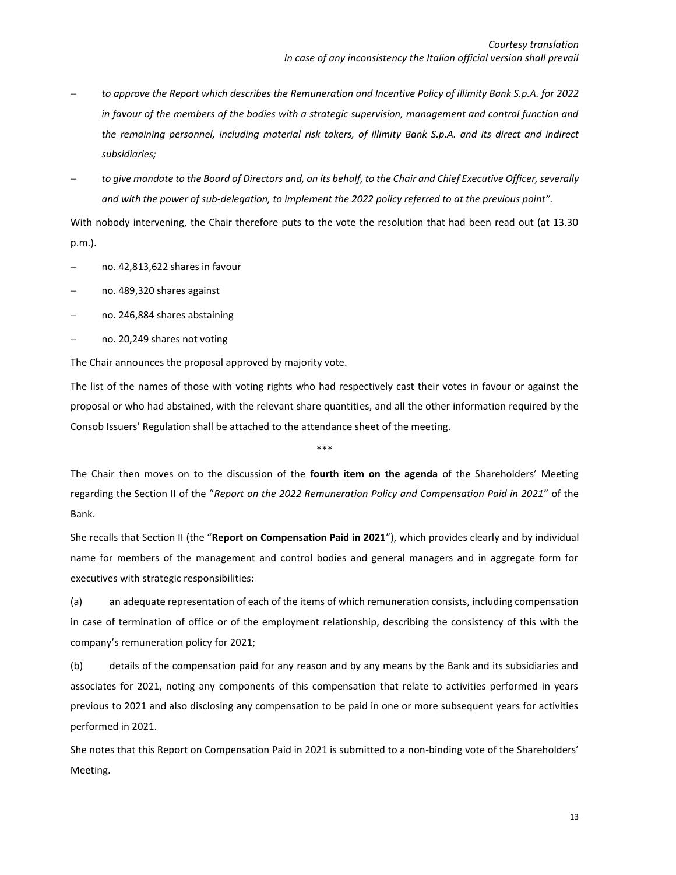- − *to approve the Report which describes the Remuneration and Incentive Policy of illimity Bank S.p.A. for 2022 in favour of the members of the bodies with a strategic supervision, management and control function and the remaining personnel, including material risk takers, of illimity Bank S.p.A. and its direct and indirect subsidiaries;*
- − *to give mandate to the Board of Directors and, on its behalf, to the Chair and Chief Executive Officer, severally and with the power of sub-delegation, to implement the 2022 policy referred to at the previous point".*

With nobody intervening, the Chair therefore puts to the vote the resolution that had been read out (at 13.30 p.m.).

- − no. 42,813,622 shares in favour
- − no. 489,320 shares against
- − no. 246,884 shares abstaining
- − no. 20,249 shares not voting

The Chair announces the proposal approved by majority vote.

The list of the names of those with voting rights who had respectively cast their votes in favour or against the proposal or who had abstained, with the relevant share quantities, and all the other information required by the Consob Issuers' Regulation shall be attached to the attendance sheet of the meeting.

\*\*\*

The Chair then moves on to the discussion of the **fourth item on the agenda** of the Shareholders' Meeting regarding the Section II of the "*Report on the 2022 Remuneration Policy and Compensation Paid in 2021*" of the Bank.

She recalls that Section II (the "**Report on Compensation Paid in 2021**"), which provides clearly and by individual name for members of the management and control bodies and general managers and in aggregate form for executives with strategic responsibilities:

(a) an adequate representation of each of the items of which remuneration consists, including compensation in case of termination of office or of the employment relationship, describing the consistency of this with the company's remuneration policy for 2021;

(b) details of the compensation paid for any reason and by any means by the Bank and its subsidiaries and associates for 2021, noting any components of this compensation that relate to activities performed in years previous to 2021 and also disclosing any compensation to be paid in one or more subsequent years for activities performed in 2021.

She notes that this Report on Compensation Paid in 2021 is submitted to a non-binding vote of the Shareholders' Meeting.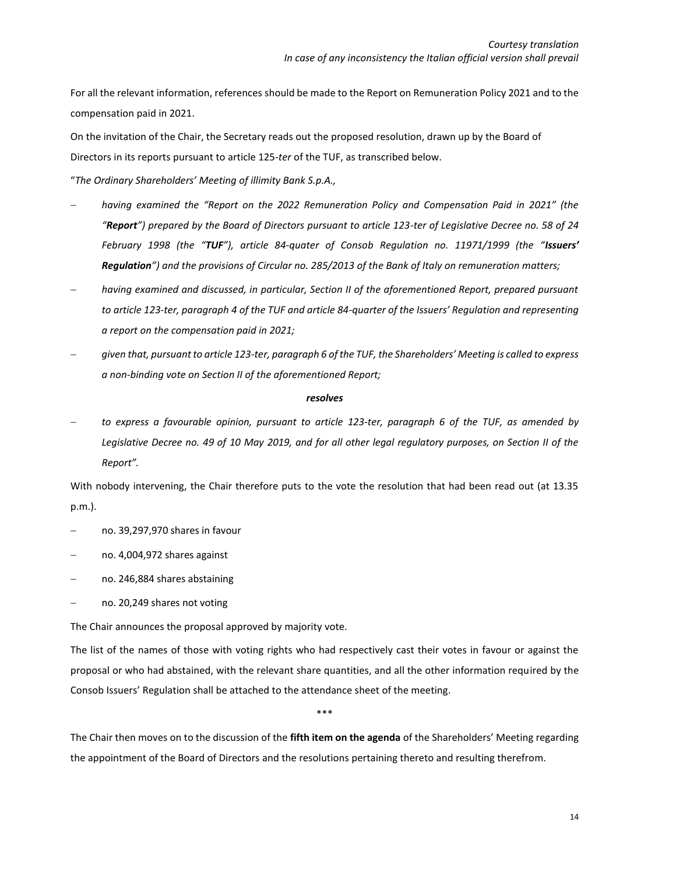For all the relevant information, references should be made to the Report on Remuneration Policy 2021 and to the compensation paid in 2021.

On the invitation of the Chair, the Secretary reads out the proposed resolution, drawn up by the Board of Directors in its reports pursuant to article 125-*ter* of the TUF, as transcribed below.

"*The Ordinary Shareholders' Meeting of illimity Bank S.p.A.,*

- − *having examined the "Report on the 2022 Remuneration Policy and Compensation Paid in 2021" (the "Report") prepared by the Board of Directors pursuant to article 123-ter of Legislative Decree no. 58 of 24 February 1998 (the "TUF"), article 84-quater of Consob Regulation no. 11971/1999 (the "Issuers' Regulation") and the provisions of Circular no. 285/2013 of the Bank of Italy on remuneration matters;*
- − *having examined and discussed, in particular, Section II of the aforementioned Report, prepared pursuant to article 123-ter, paragraph 4 of the TUF and article 84-quarter of the Issuers' Regulation and representing a report on the compensation paid in 2021;*
- − *given that, pursuant to article 123-ter, paragraph 6 of the TUF, the Shareholders' Meeting is called to express a non-binding vote on Section II of the aforementioned Report;*

### *resolves*

− *to express a favourable opinion, pursuant to article 123-ter, paragraph 6 of the TUF, as amended by Legislative Decree no. 49 of 10 May 2019, and for all other legal regulatory purposes, on Section II of the Report".*

With nobody intervening, the Chair therefore puts to the vote the resolution that had been read out (at 13.35 p.m.).

- − no. 39,297,970 shares in favour
- − no. 4,004,972 shares against
- − no. 246,884 shares abstaining
- − no. 20,249 shares not voting

The Chair announces the proposal approved by majority vote.

The list of the names of those with voting rights who had respectively cast their votes in favour or against the proposal or who had abstained, with the relevant share quantities, and all the other information required by the Consob Issuers' Regulation shall be attached to the attendance sheet of the meeting.

\*\*\*

The Chair then moves on to the discussion of the **fifth item on the agenda** of the Shareholders' Meeting regarding the appointment of the Board of Directors and the resolutions pertaining thereto and resulting therefrom.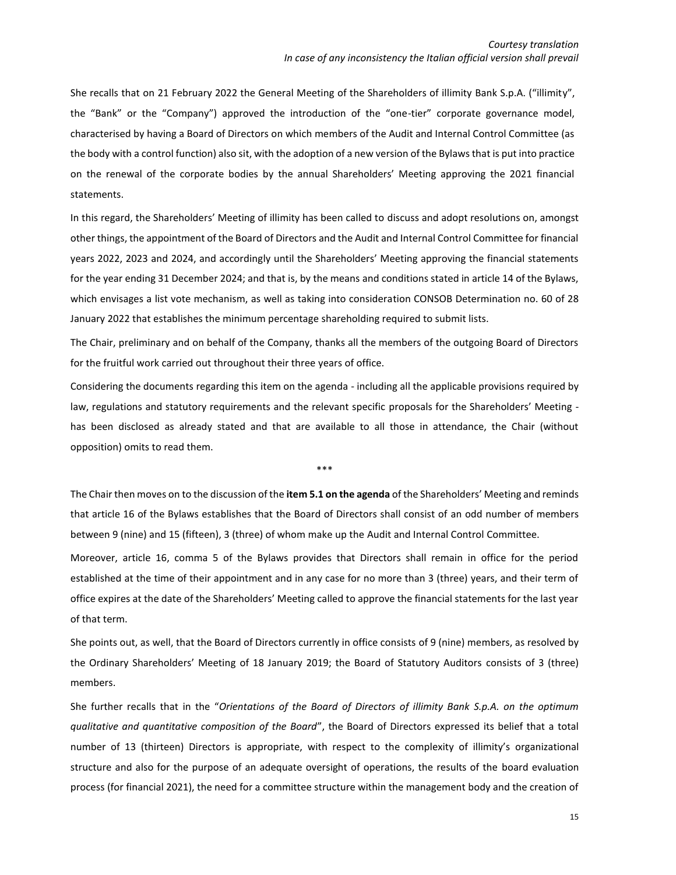She recalls that on 21 February 2022 the General Meeting of the Shareholders of illimity Bank S.p.A. ("illimity", the "Bank" or the "Company") approved the introduction of the "one-tier" corporate governance model, characterised by having a Board of Directors on which members of the Audit and Internal Control Committee (as the body with a control function) also sit, with the adoption of a new version of the Bylaws that is put into practice on the renewal of the corporate bodies by the annual Shareholders' Meeting approving the 2021 financial statements.

In this regard, the Shareholders' Meeting of illimity has been called to discuss and adopt resolutions on, amongst other things, the appointment of the Board of Directors and the Audit and Internal Control Committee for financial years 2022, 2023 and 2024, and accordingly until the Shareholders' Meeting approving the financial statements for the year ending 31 December 2024; and that is, by the means and conditions stated in article 14 of the Bylaws, which envisages a list vote mechanism, as well as taking into consideration CONSOB Determination no. 60 of 28 January 2022 that establishes the minimum percentage shareholding required to submit lists.

The Chair, preliminary and on behalf of the Company, thanks all the members of the outgoing Board of Directors for the fruitful work carried out throughout their three years of office.

Considering the documents regarding this item on the agenda - including all the applicable provisions required by law, regulations and statutory requirements and the relevant specific proposals for the Shareholders' Meeting has been disclosed as already stated and that are available to all those in attendance, the Chair (without opposition) omits to read them.

\*\*\*

The Chair then moves on to the discussion of the **item 5.1 on the agenda** of the Shareholders' Meeting and reminds that article 16 of the Bylaws establishes that the Board of Directors shall consist of an odd number of members between 9 (nine) and 15 (fifteen), 3 (three) of whom make up the Audit and Internal Control Committee.

Moreover, article 16, comma 5 of the Bylaws provides that Directors shall remain in office for the period established at the time of their appointment and in any case for no more than 3 (three) years, and their term of office expires at the date of the Shareholders' Meeting called to approve the financial statements for the last year of that term.

She points out, as well, that the Board of Directors currently in office consists of 9 (nine) members, as resolved by the Ordinary Shareholders' Meeting of 18 January 2019; the Board of Statutory Auditors consists of 3 (three) members.

She further recalls that in the "*Orientations of the Board of Directors of illimity Bank S.p.A. on the optimum qualitative and quantitative composition of the Board*", the Board of Directors expressed its belief that a total number of 13 (thirteen) Directors is appropriate, with respect to the complexity of illimity's organizational structure and also for the purpose of an adequate oversight of operations, the results of the board evaluation process (for financial 2021), the need for a committee structure within the management body and the creation of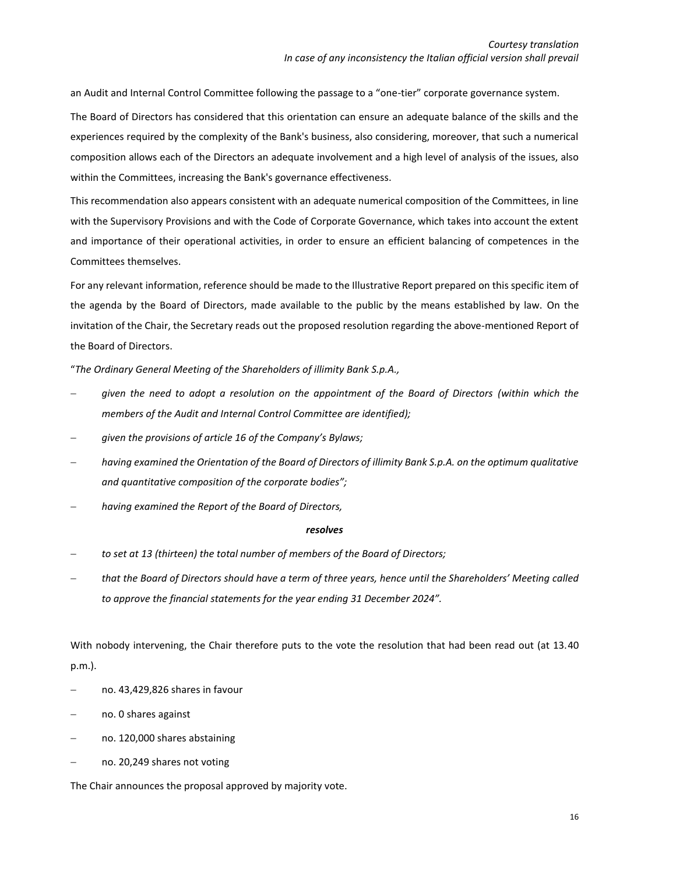an Audit and Internal Control Committee following the passage to a "one-tier" corporate governance system.

The Board of Directors has considered that this orientation can ensure an adequate balance of the skills and the experiences required by the complexity of the Bank's business, also considering, moreover, that such a numerical composition allows each of the Directors an adequate involvement and a high level of analysis of the issues, also within the Committees, increasing the Bank's governance effectiveness.

This recommendation also appears consistent with an adequate numerical composition of the Committees, in line with the Supervisory Provisions and with the Code of Corporate Governance, which takes into account the extent and importance of their operational activities, in order to ensure an efficient balancing of competences in the Committees themselves.

For any relevant information, reference should be made to the Illustrative Report prepared on this specific item of the agenda by the Board of Directors, made available to the public by the means established by law. On the invitation of the Chair, the Secretary reads out the proposed resolution regarding the above-mentioned Report of the Board of Directors.

"*The Ordinary General Meeting of the Shareholders of illimity Bank S.p.A.,*

- − *given the need to adopt a resolution on the appointment of the Board of Directors (within which the members of the Audit and Internal Control Committee are identified);*
- − *given the provisions of article 16 of the Company's Bylaws;*
- − *having examined the Orientation of the Board of Directors of illimity Bank S.p.A. on the optimum qualitative and quantitative composition of the corporate bodies";*
- − *having examined the Report of the Board of Directors,*

#### *resolves*

- − *to set at 13 (thirteen) the total number of members of the Board of Directors;*
- − *that the Board of Directors should have a term of three years, hence until the Shareholders' Meeting called to approve the financial statements for the year ending 31 December 2024".*

With nobody intervening, the Chair therefore puts to the vote the resolution that had been read out (at 13.40 p.m.).

- − no. 43,429,826 shares in favour
- − no. 0 shares against
- − no. 120,000 shares abstaining
- − no. 20,249 shares not voting

The Chair announces the proposal approved by majority vote.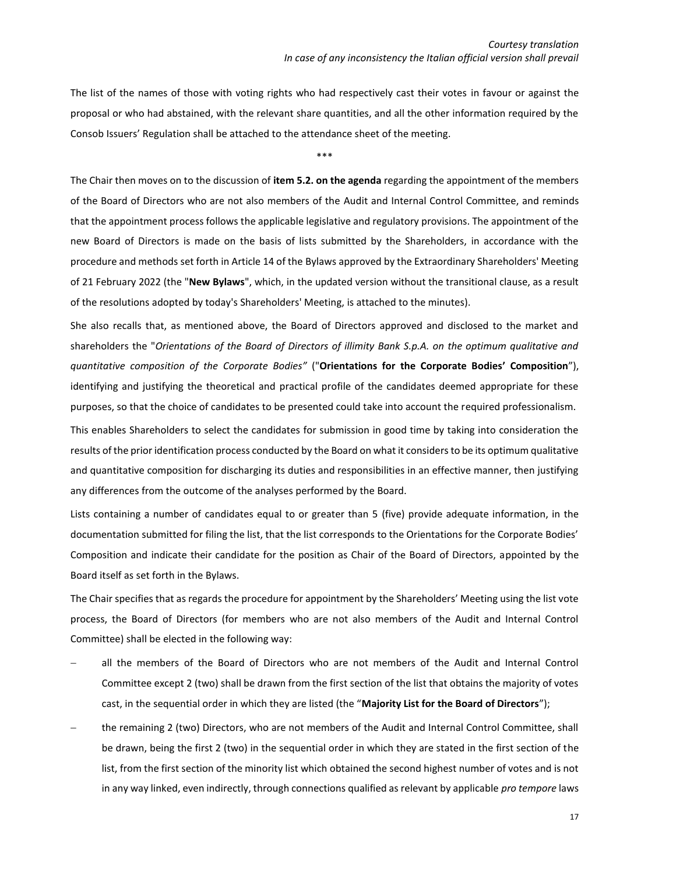The list of the names of those with voting rights who had respectively cast their votes in favour or against the proposal or who had abstained, with the relevant share quantities, and all the other information required by the Consob Issuers' Regulation shall be attached to the attendance sheet of the meeting.

\*\*\*

The Chair then moves on to the discussion of **item 5.2. on the agenda** regarding the appointment of the members of the Board of Directors who are not also members of the Audit and Internal Control Committee, and reminds that the appointment process follows the applicable legislative and regulatory provisions. The appointment of the new Board of Directors is made on the basis of lists submitted by the Shareholders, in accordance with the procedure and methods set forth in Article 14 of the Bylaws approved by the Extraordinary Shareholders' Meeting of 21 February 2022 (the "**New Bylaws**", which, in the updated version without the transitional clause, as a result of the resolutions adopted by today's Shareholders' Meeting, is attached to the minutes).

She also recalls that, as mentioned above, the Board of Directors approved and disclosed to the market and shareholders the "*Orientations of the Board of Directors of illimity Bank S.p.A. on the optimum qualitative and quantitative composition of the Corporate Bodies"* ("**Orientations for the Corporate Bodies' Composition**"), identifying and justifying the theoretical and practical profile of the candidates deemed appropriate for these purposes, so that the choice of candidates to be presented could take into account the required professionalism.

This enables Shareholders to select the candidates for submission in good time by taking into consideration the results of the prior identification process conducted by the Board on what it considers to be its optimum qualitative and quantitative composition for discharging its duties and responsibilities in an effective manner, then justifying any differences from the outcome of the analyses performed by the Board.

Lists containing a number of candidates equal to or greater than 5 (five) provide adequate information, in the documentation submitted for filing the list, that the list corresponds to the Orientations for the Corporate Bodies' Composition and indicate their candidate for the position as Chair of the Board of Directors, appointed by the Board itself as set forth in the Bylaws.

The Chair specifies that as regards the procedure for appointment by the Shareholders' Meeting using the list vote process, the Board of Directors (for members who are not also members of the Audit and Internal Control Committee) shall be elected in the following way:

- all the members of the Board of Directors who are not members of the Audit and Internal Control Committee except 2 (two) shall be drawn from the first section of the list that obtains the majority of votes cast, in the sequential order in which they are listed (the "**Majority List for the Board of Directors**");
- − the remaining 2 (two) Directors, who are not members of the Audit and Internal Control Committee, shall be drawn, being the first 2 (two) in the sequential order in which they are stated in the first section of the list, from the first section of the minority list which obtained the second highest number of votes and is not in any way linked, even indirectly, through connections qualified as relevant by applicable *pro tempore* laws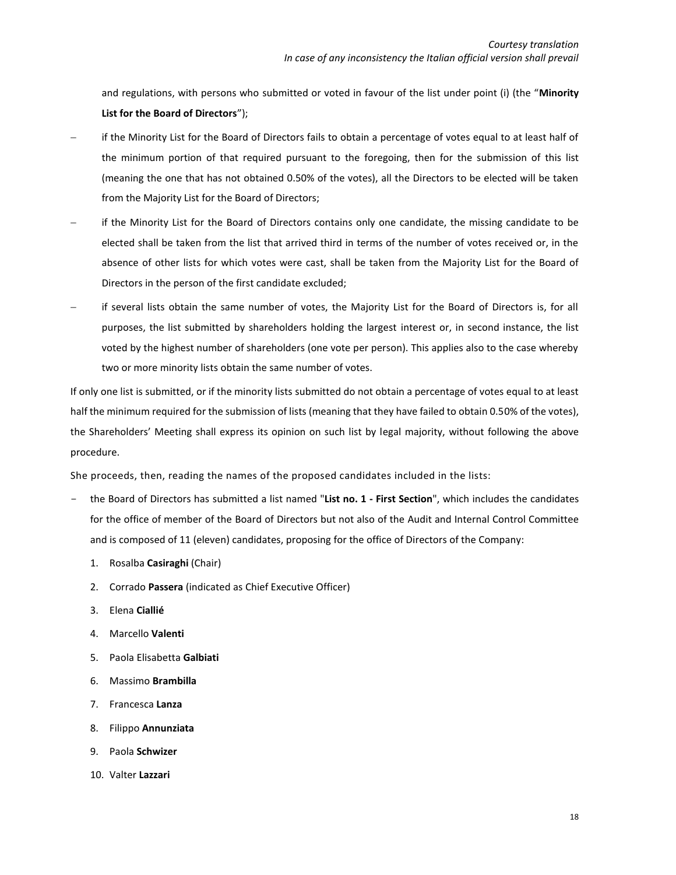and regulations, with persons who submitted or voted in favour of the list under point (i) (the "**Minority List for the Board of Directors**");

- − if the Minority List for the Board of Directors fails to obtain a percentage of votes equal to at least half of the minimum portion of that required pursuant to the foregoing, then for the submission of this list (meaning the one that has not obtained 0.50% of the votes), all the Directors to be elected will be taken from the Majority List for the Board of Directors;
- if the Minority List for the Board of Directors contains only one candidate, the missing candidate to be elected shall be taken from the list that arrived third in terms of the number of votes received or, in the absence of other lists for which votes were cast, shall be taken from the Majority List for the Board of Directors in the person of the first candidate excluded;
- − if several lists obtain the same number of votes, the Majority List for the Board of Directors is, for all purposes, the list submitted by shareholders holding the largest interest or, in second instance, the list voted by the highest number of shareholders (one vote per person). This applies also to the case whereby two or more minority lists obtain the same number of votes.

If only one list is submitted, or if the minority lists submitted do not obtain a percentage of votes equal to at least half the minimum required for the submission of lists (meaning that they have failed to obtain 0.50% of the votes), the Shareholders' Meeting shall express its opinion on such list by legal majority, without following the above procedure.

She proceeds, then, reading the names of the proposed candidates included in the lists:

- the Board of Directors has submitted a list named "**List no. 1 - First Section**", which includes the candidates for the office of member of the Board of Directors but not also of the Audit and Internal Control Committee and is composed of 11 (eleven) candidates, proposing for the office of Directors of the Company:
	- 1. Rosalba **Casiraghi** (Chair)
	- 2. Corrado **Passera** (indicated as Chief Executive Officer)
	- 3. Elena **Ciallié**
	- 4. Marcello **Valenti**
	- 5. Paola Elisabetta **Galbiati**
	- 6. Massimo **Brambilla**
	- 7. Francesca **Lanza**
	- 8. Filippo **Annunziata**
	- 9. Paola **Schwizer**
	- 10. Valter **Lazzari**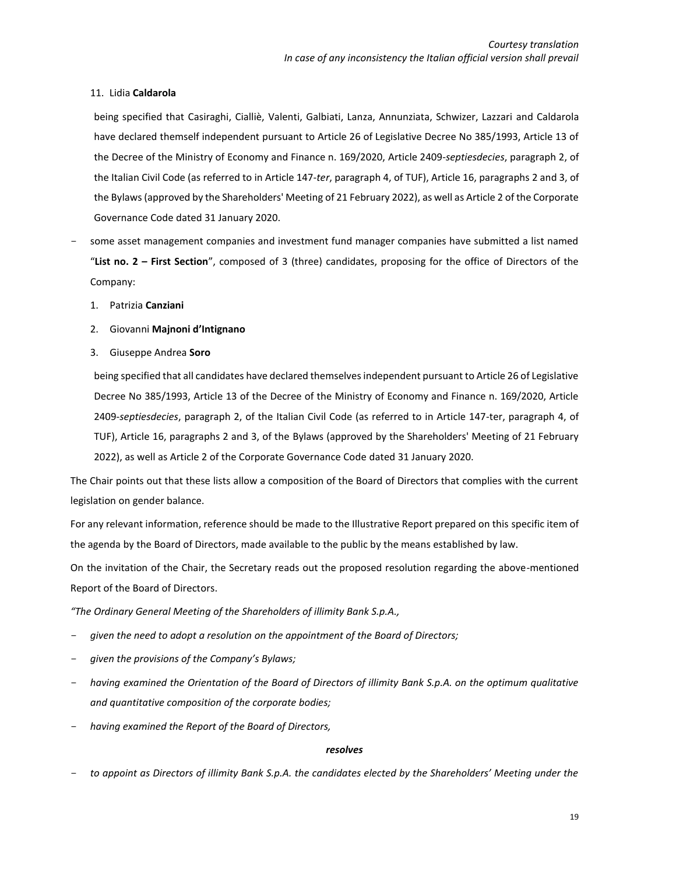# 11. Lidia **Caldarola**

being specified that Casiraghi, Cialliè, Valenti, Galbiati, Lanza, Annunziata, Schwizer, Lazzari and Caldarola have declared themself independent pursuant to Article 26 of Legislative Decree No 385/1993, Article 13 of the Decree of the Ministry of Economy and Finance n. 169/2020, Article 2409-*septiesdecies*, paragraph 2, of the Italian Civil Code (as referred to in Article 147-*ter*, paragraph 4, of TUF), Article 16, paragraphs 2 and 3, of the Bylaws (approved by the Shareholders' Meeting of 21 February 2022), as well as Article 2 of the Corporate Governance Code dated 31 January 2020.

- some asset management companies and investment fund manager companies have submitted a list named "**List no. 2 – First Section**", composed of 3 (three) candidates, proposing for the office of Directors of the Company:
	- 1. Patrizia **Canziani**
	- 2. Giovanni **Majnoni d'Intignano**
	- 3. Giuseppe Andrea **Soro**

being specified that all candidates have declared themselves independent pursuant to Article 26 of Legislative Decree No 385/1993, Article 13 of the Decree of the Ministry of Economy and Finance n. 169/2020, Article 2409-*septiesdecies*, paragraph 2, of the Italian Civil Code (as referred to in Article 147-ter, paragraph 4, of TUF), Article 16, paragraphs 2 and 3, of the Bylaws (approved by the Shareholders' Meeting of 21 February 2022), as well as Article 2 of the Corporate Governance Code dated 31 January 2020.

The Chair points out that these lists allow a composition of the Board of Directors that complies with the current legislation on gender balance.

For any relevant information, reference should be made to the Illustrative Report prepared on this specific item of the agenda by the Board of Directors, made available to the public by the means established by law.

On the invitation of the Chair, the Secretary reads out the proposed resolution regarding the above-mentioned Report of the Board of Directors.

*"The Ordinary General Meeting of the Shareholders of illimity Bank S.p.A.,*

- given the need to adopt a resolution on the appointment of the Board of Directors;
- *given the provisions of the Company's Bylaws;*
- having examined the Orientation of the Board of Directors of illimity Bank S.p.A. on the optimum qualitative *and quantitative composition of the corporate bodies;*
- *having examined the Report of the Board of Directors,*

# *resolves*

- *to appoint as Directors of illimity Bank S.p.A. the candidates elected by the Shareholders' Meeting under the*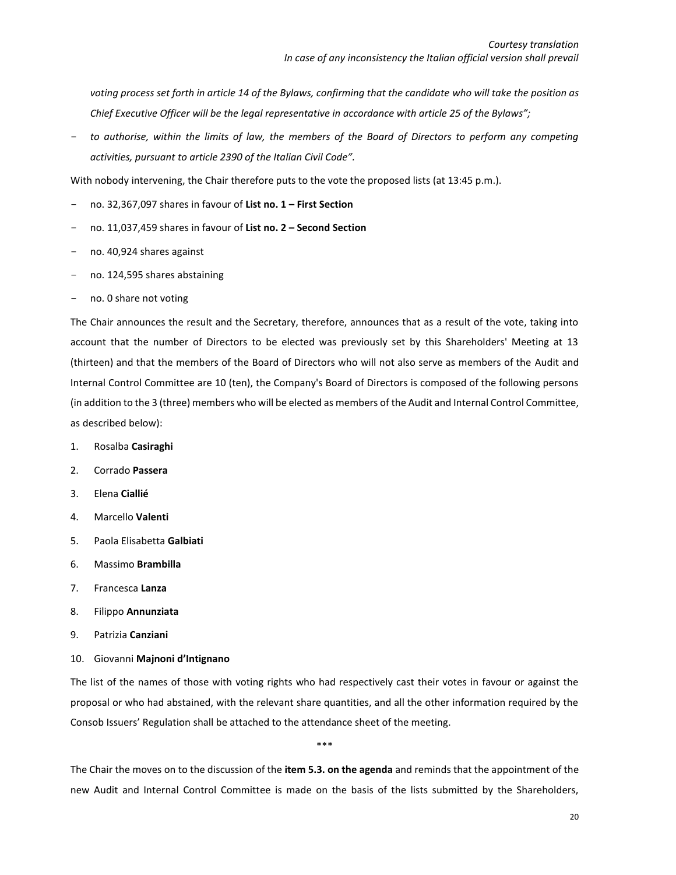voting process set forth in article 14 of the Bylaws, confirming that the candidate who will take the position as *Chief Executive Officer will be the legal representative in accordance with article 25 of the Bylaws";*

to authorise, within the limits of law, the members of the Board of Directors to perform any competing *activities, pursuant to article 2390 of the Italian Civil Code".*

With nobody intervening, the Chair therefore puts to the vote the proposed lists (at 13:45 p.m.).

- no. 32,367,097 shares in favour of **List no. 1 – First Section**
- no. 11,037,459 shares in favour of **List no. 2 – Second Section**
- no. 40,924 shares against
- no. 124,595 shares abstaining
- no. 0 share not voting

The Chair announces the result and the Secretary, therefore, announces that as a result of the vote, taking into account that the number of Directors to be elected was previously set by this Shareholders' Meeting at 13 (thirteen) and that the members of the Board of Directors who will not also serve as members of the Audit and Internal Control Committee are 10 (ten), the Company's Board of Directors is composed of the following persons (in addition to the 3 (three) members who will be elected as members of the Audit and Internal Control Committee, as described below):

- 1. Rosalba **Casiraghi**
- 2. Corrado **Passera**
- 3. Elena **Ciallié**
- 4. Marcello **Valenti**
- 5. Paola Elisabetta **Galbiati**
- 6. Massimo **Brambilla**
- 7. Francesca **Lanza**
- 8. Filippo **Annunziata**
- 9. Patrizia **Canziani**
- 10. Giovanni **Majnoni d'Intignano**

The list of the names of those with voting rights who had respectively cast their votes in favour or against the proposal or who had abstained, with the relevant share quantities, and all the other information required by the Consob Issuers' Regulation shall be attached to the attendance sheet of the meeting.

\*\*\*

The Chair the moves on to the discussion of the **item 5.3. on the agenda** and reminds that the appointment of the new Audit and Internal Control Committee is made on the basis of the lists submitted by the Shareholders,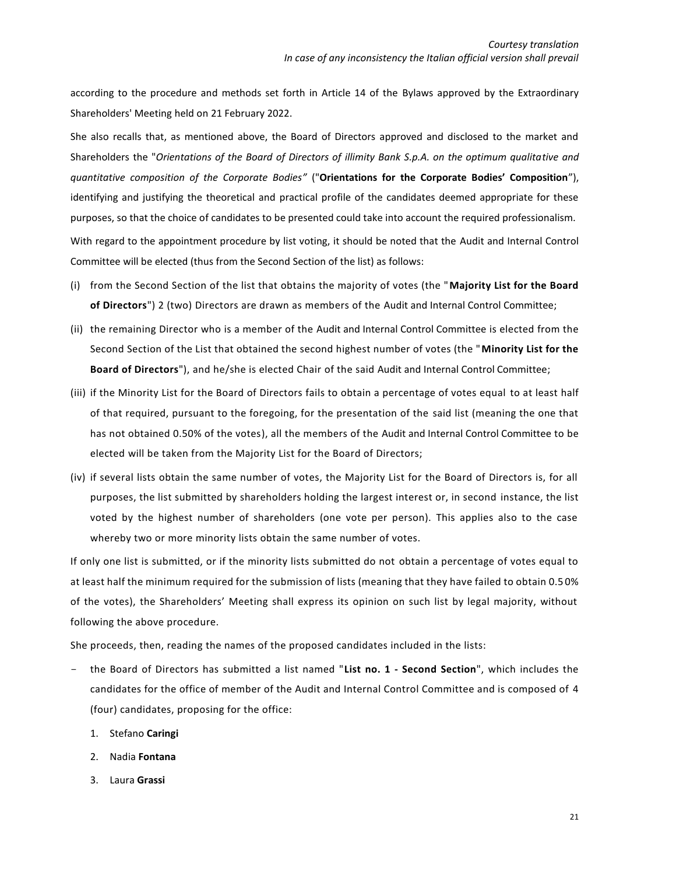according to the procedure and methods set forth in Article 14 of the Bylaws approved by the Extraordinary Shareholders' Meeting held on 21 February 2022.

She also recalls that, as mentioned above, the Board of Directors approved and disclosed to the market and Shareholders the "*Orientations of the Board of Directors of illimity Bank S.p.A. on the optimum qualitative and quantitative composition of the Corporate Bodies"* ("**Orientations for the Corporate Bodies' Composition**"), identifying and justifying the theoretical and practical profile of the candidates deemed appropriate for these purposes, so that the choice of candidates to be presented could take into account the required professionalism. With regard to the appointment procedure by list voting, it should be noted that the Audit and Internal Control Committee will be elected (thus from the Second Section of the list) as follows:

- (i) from the Second Section of the list that obtains the majority of votes (the "**Majority List for the Board of Directors**") 2 (two) Directors are drawn as members of the Audit and Internal Control Committee;
- (ii) the remaining Director who is a member of the Audit and Internal Control Committee is elected from the Second Section of the List that obtained the second highest number of votes (the "**Minority List for the Board of Directors**"), and he/she is elected Chair of the said Audit and Internal Control Committee;
- (iii) if the Minority List for the Board of Directors fails to obtain a percentage of votes equal to at least half of that required, pursuant to the foregoing, for the presentation of the said list (meaning the one that has not obtained 0.50% of the votes), all the members of the Audit and Internal Control Committee to be elected will be taken from the Majority List for the Board of Directors;
- (iv) if several lists obtain the same number of votes, the Majority List for the Board of Directors is, for all purposes, the list submitted by shareholders holding the largest interest or, in second instance, the list voted by the highest number of shareholders (one vote per person). This applies also to the case whereby two or more minority lists obtain the same number of votes.

If only one list is submitted, or if the minority lists submitted do not obtain a percentage of votes equal to at least half the minimum required for the submission of lists (meaning that they have failed to obtain 0.5 0% of the votes), the Shareholders' Meeting shall express its opinion on such list by legal majority, without following the above procedure.

She proceeds, then, reading the names of the proposed candidates included in the lists:

- the Board of Directors has submitted a list named "**List no. 1 - Second Section**", which includes the candidates for the office of member of the Audit and Internal Control Committee and is composed of 4 (four) candidates, proposing for the office:
	- 1. Stefano **Caringi**
	- 2. Nadia **Fontana**
	- 3. Laura **Grassi**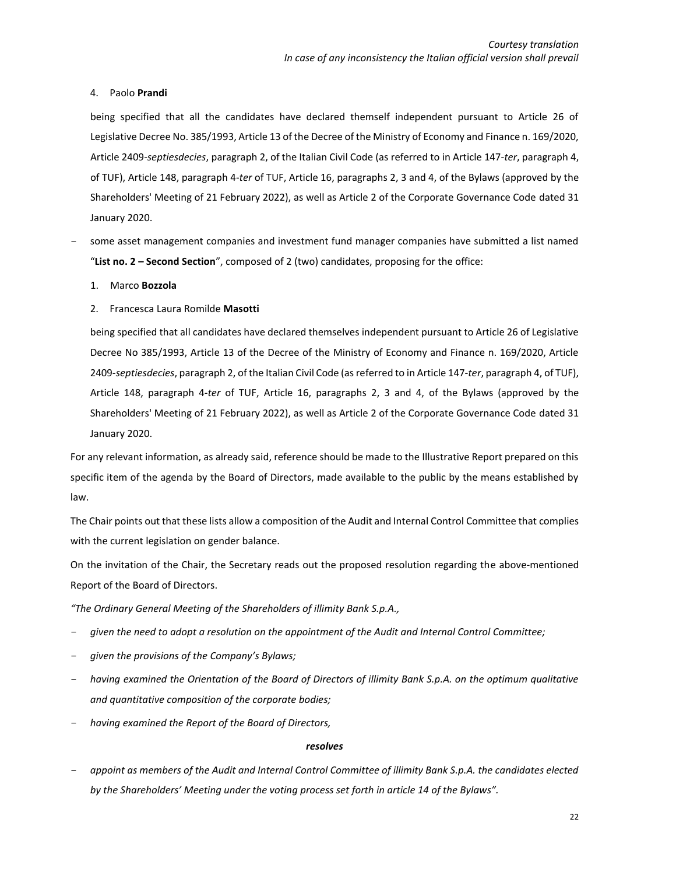# 4. Paolo **Prandi**

being specified that all the candidates have declared themself independent pursuant to Article 26 of Legislative Decree No. 385/1993, Article 13 of the Decree of the Ministry of Economy and Finance n. 169/2020, Article 2409-*septiesdecies*, paragraph 2, of the Italian Civil Code (as referred to in Article 147-*ter*, paragraph 4, of TUF), Article 148, paragraph 4-*ter* of TUF, Article 16, paragraphs 2, 3 and 4, of the Bylaws (approved by the Shareholders' Meeting of 21 February 2022), as well as Article 2 of the Corporate Governance Code dated 31 January 2020.

- some asset management companies and investment fund manager companies have submitted a list named "**List no. 2 – Second Section**", composed of 2 (two) candidates, proposing for the office:

# 1. Marco **Bozzola**

# 2. Francesca Laura Romilde **Masotti**

being specified that all candidates have declared themselves independent pursuant to Article 26 of Legislative Decree No 385/1993, Article 13 of the Decree of the Ministry of Economy and Finance n. 169/2020, Article 2409-*septiesdecies*, paragraph 2, of the Italian Civil Code (as referred to in Article 147-*ter*, paragraph 4, of TUF), Article 148, paragraph 4-*ter* of TUF, Article 16, paragraphs 2, 3 and 4, of the Bylaws (approved by the Shareholders' Meeting of 21 February 2022), as well as Article 2 of the Corporate Governance Code dated 31 January 2020.

For any relevant information, as already said, reference should be made to the Illustrative Report prepared on this specific item of the agenda by the Board of Directors, made available to the public by the means established by law.

The Chair points out that these lists allow a composition of the Audit and Internal Control Committee that complies with the current legislation on gender balance.

On the invitation of the Chair, the Secretary reads out the proposed resolution regarding the above-mentioned Report of the Board of Directors.

*"The Ordinary General Meeting of the Shareholders of illimity Bank S.p.A.,*

- *given the need to adopt a resolution on the appointment of the Audit and Internal Control Committee;*
- *given the provisions of the Company's Bylaws;*
- having examined the Orientation of the Board of Directors of illimity Bank S.p.A. on the optimum qualitative *and quantitative composition of the corporate bodies;*
- *having examined the Report of the Board of Directors,*

# *resolves*

- *appoint as members of the Audit and Internal Control Committee of illimity Bank S.p.A. the candidates elected by the Shareholders' Meeting under the voting process set forth in article 14 of the Bylaws".*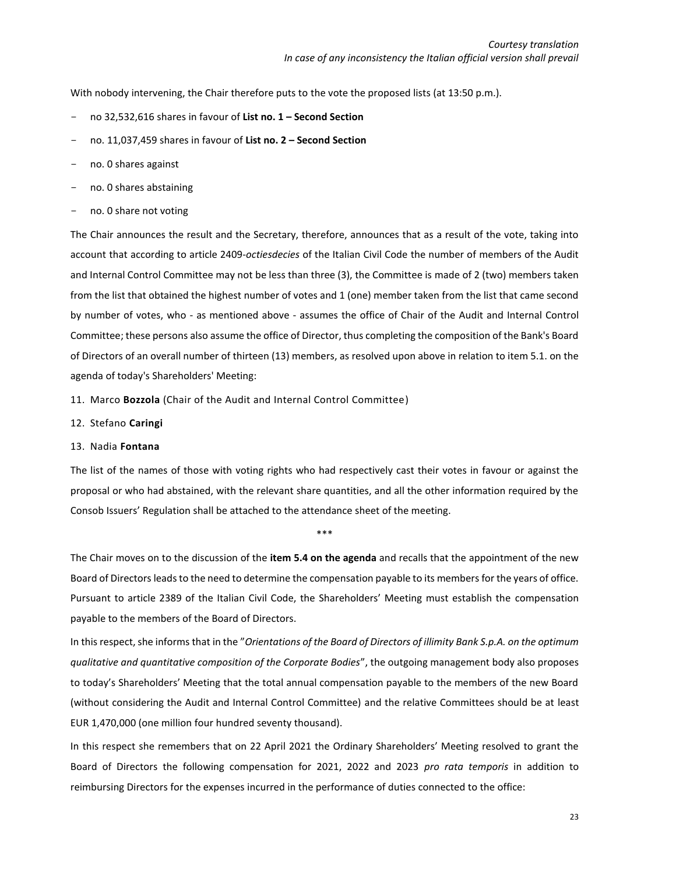With nobody intervening, the Chair therefore puts to the vote the proposed lists (at 13:50 p.m.).

- no 32,532,616 shares in favour of **List no. 1 – Second Section**
- no. 11,037,459 shares in favour of **List no. 2 – Second Section**
- no. 0 shares against
- no. 0 shares abstaining
- no. 0 share not voting

The Chair announces the result and the Secretary, therefore, announces that as a result of the vote, taking into account that according to article 2409-*octiesdecies* of the Italian Civil Code the number of members of the Audit and Internal Control Committee may not be less than three (3), the Committee is made of 2 (two) members taken from the list that obtained the highest number of votes and 1 (one) member taken from the list that came second by number of votes, who - as mentioned above - assumes the office of Chair of the Audit and Internal Control Committee; these persons also assume the office of Director, thus completing the composition of the Bank's Board of Directors of an overall number of thirteen (13) members, as resolved upon above in relation to item 5.1. on the agenda of today's Shareholders' Meeting:

- 11. Marco **Bozzola** (Chair of the Audit and Internal Control Committee)
- 12. Stefano **Caringi**

#### 13. Nadia **Fontana**

The list of the names of those with voting rights who had respectively cast their votes in favour or against the proposal or who had abstained, with the relevant share quantities, and all the other information required by the Consob Issuers' Regulation shall be attached to the attendance sheet of the meeting.

\*\*\*

The Chair moves on to the discussion of the **item 5.4 on the agenda** and recalls that the appointment of the new Board of Directors leads to the need to determine the compensation payable to its members for the years of office. Pursuant to article 2389 of the Italian Civil Code, the Shareholders' Meeting must establish the compensation payable to the members of the Board of Directors.

In this respect, she informs that in the "*Orientations of the Board of Directors of illimity Bank S.p.A. on the optimum qualitative and quantitative composition of the Corporate Bodies*", the outgoing management body also proposes to today's Shareholders' Meeting that the total annual compensation payable to the members of the new Board (without considering the Audit and Internal Control Committee) and the relative Committees should be at least EUR 1,470,000 (one million four hundred seventy thousand).

In this respect she remembers that on 22 April 2021 the Ordinary Shareholders' Meeting resolved to grant the Board of Directors the following compensation for 2021, 2022 and 2023 *pro rata temporis* in addition to reimbursing Directors for the expenses incurred in the performance of duties connected to the office: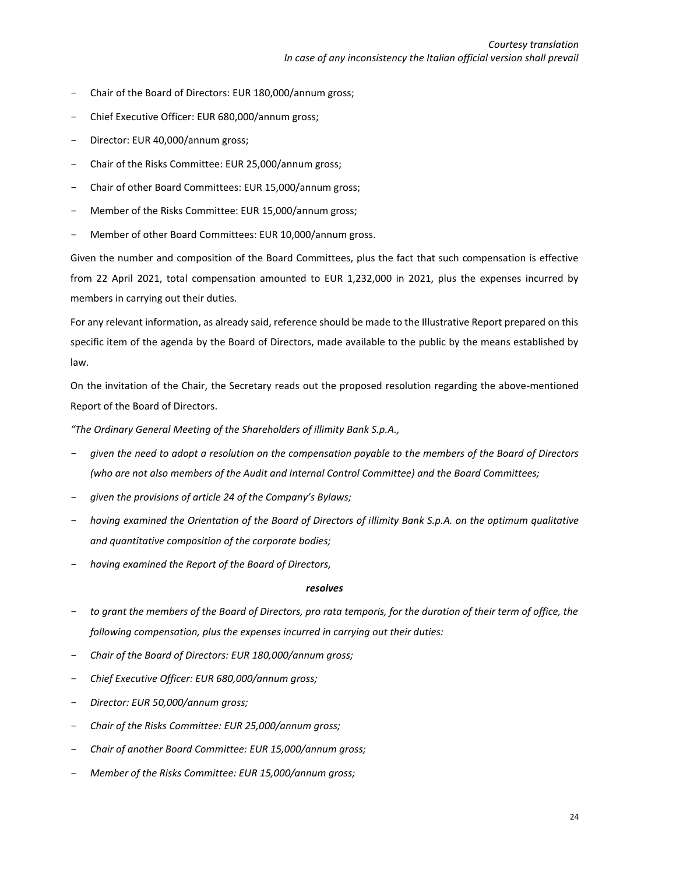- Chair of the Board of Directors: EUR 180,000/annum gross;
- Chief Executive Officer: EUR 680,000/annum gross;
- Director: EUR 40,000/annum gross;
- Chair of the Risks Committee: EUR 25,000/annum gross;
- Chair of other Board Committees: EUR 15,000/annum gross;
- Member of the Risks Committee: EUR 15,000/annum gross;
- Member of other Board Committees: EUR 10,000/annum gross.

Given the number and composition of the Board Committees, plus the fact that such compensation is effective from 22 April 2021, total compensation amounted to EUR 1,232,000 in 2021, plus the expenses incurred by members in carrying out their duties.

For any relevant information, as already said, reference should be made to the Illustrative Report prepared on this specific item of the agenda by the Board of Directors, made available to the public by the means established by law.

On the invitation of the Chair, the Secretary reads out the proposed resolution regarding the above-mentioned Report of the Board of Directors.

*"The Ordinary General Meeting of the Shareholders of illimity Bank S.p.A.,*

- *given the need to adopt a resolution on the compensation payable to the members of the Board of Directors (who are not also members of the Audit and Internal Control Committee) and the Board Committees;*
- *given the provisions of article 24 of the Company's Bylaws;*
- having examined the Orientation of the Board of Directors of illimity Bank S.p.A. on the optimum qualitative *and quantitative composition of the corporate bodies;*
- *having examined the Report of the Board of Directors,*

### *resolves*

- to grant the members of the Board of Directors, pro rata temporis, for the duration of their term of office, the *following compensation, plus the expenses incurred in carrying out their duties:*
- *Chair of the Board of Directors: EUR 180,000/annum gross;*
- *Chief Executive Officer: EUR 680,000/annum gross;*
- *Director: EUR 50,000/annum gross;*
- *Chair of the Risks Committee: EUR 25,000/annum gross;*
- *Chair of another Board Committee: EUR 15,000/annum gross;*
- *Member of the Risks Committee: EUR 15,000/annum gross;*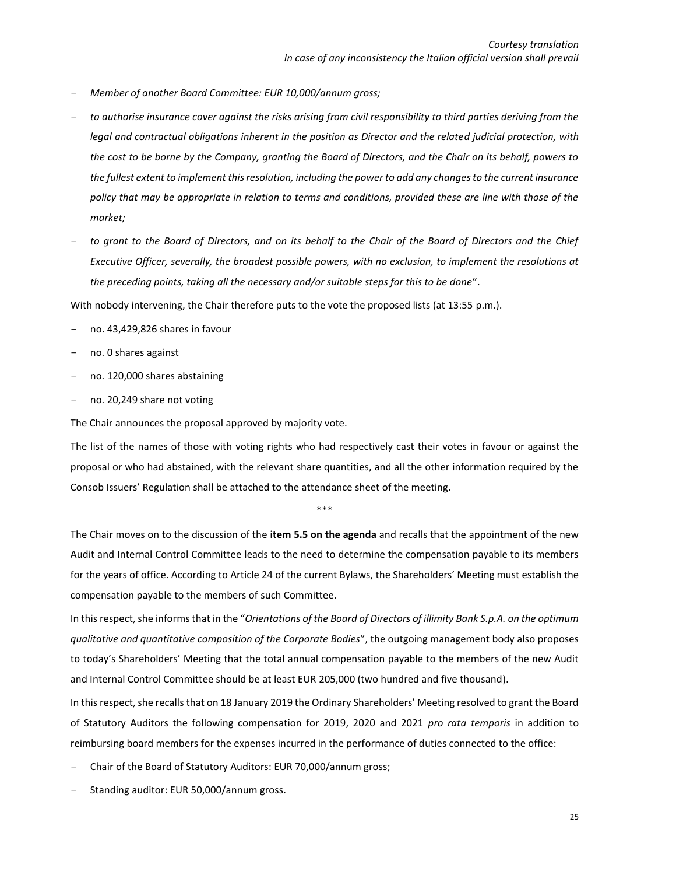- *Member of another Board Committee: EUR 10,000/annum gross;*
- to authorise insurance cover against the risks arising from civil responsibility to third parties deriving from the *legal and contractual obligations inherent in the position as Director and the related judicial protection, with the cost to be borne by the Company, granting the Board of Directors, and the Chair on its behalf, powers to the fullest extent to implement this resolution, including the power to add any changes to the current insurance policy that may be appropriate in relation to terms and conditions, provided these are line with those of the market;*
- *to grant to the Board of Directors, and on its behalf to the Chair of the Board of Directors and the Chief Executive Officer, severally, the broadest possible powers, with no exclusion, to implement the resolutions at the preceding points, taking all the necessary and/or suitable steps for this to be done*".

With nobody intervening, the Chair therefore puts to the vote the proposed lists (at 13:55 p.m.).

- no. 43,429,826 shares in favour
- no. 0 shares against
- no. 120,000 shares abstaining
- no. 20,249 share not voting

The Chair announces the proposal approved by majority vote.

The list of the names of those with voting rights who had respectively cast their votes in favour or against the proposal or who had abstained, with the relevant share quantities, and all the other information required by the Consob Issuers' Regulation shall be attached to the attendance sheet of the meeting.

\*\*\*

The Chair moves on to the discussion of the **item 5.5 on the agenda** and recalls that the appointment of the new Audit and Internal Control Committee leads to the need to determine the compensation payable to its members for the years of office. According to Article 24 of the current Bylaws, the Shareholders' Meeting must establish the compensation payable to the members of such Committee.

In this respect, she informs that in the "*Orientations of the Board of Directors of illimity Bank S.p.A. on the optimum qualitative and quantitative composition of the Corporate Bodies*", the outgoing management body also proposes to today's Shareholders' Meeting that the total annual compensation payable to the members of the new Audit and Internal Control Committee should be at least EUR 205,000 (two hundred and five thousand).

In this respect, she recalls that on 18 January 2019 the Ordinary Shareholders' Meeting resolved to grant the Board of Statutory Auditors the following compensation for 2019, 2020 and 2021 *pro rata temporis* in addition to reimbursing board members for the expenses incurred in the performance of duties connected to the office:

- Chair of the Board of Statutory Auditors: EUR 70,000/annum gross;
- Standing auditor: EUR 50,000/annum gross.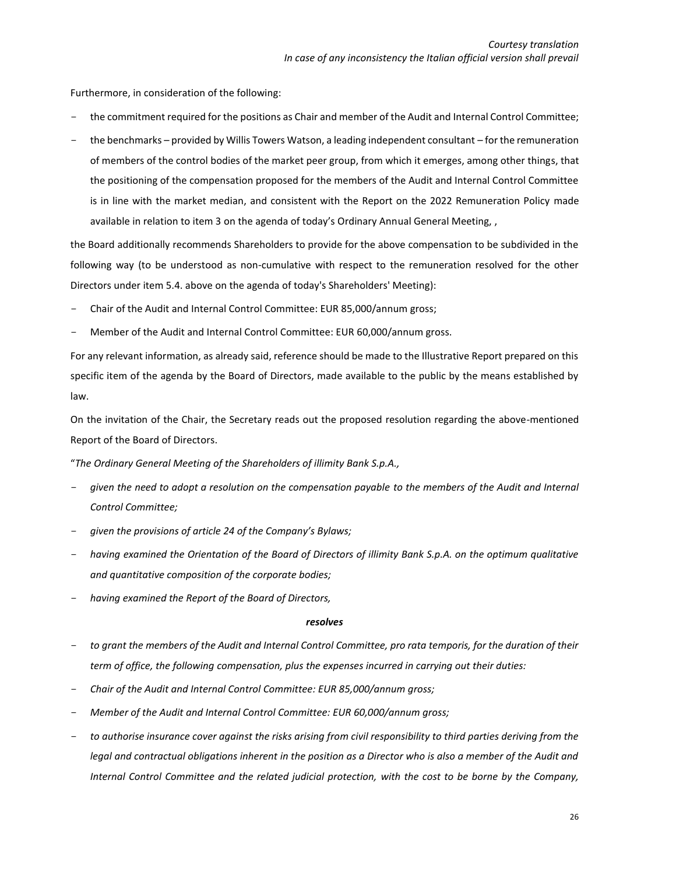Furthermore, in consideration of the following:

- the commitment required for the positions as Chair and member of the Audit and Internal Control Committee;
- the benchmarks provided by Willis Towers Watson, a leading independent consultant for the remuneration of members of the control bodies of the market peer group, from which it emerges, among other things, that the positioning of the compensation proposed for the members of the Audit and Internal Control Committee is in line with the market median, and consistent with the Report on the 2022 Remuneration Policy made available in relation to item 3 on the agenda of today's Ordinary Annual General Meeting, ,

the Board additionally recommends Shareholders to provide for the above compensation to be subdivided in the following way (to be understood as non-cumulative with respect to the remuneration resolved for the other Directors under item 5.4. above on the agenda of today's Shareholders' Meeting):

- Chair of the Audit and Internal Control Committee: EUR 85,000/annum gross;
- Member of the Audit and Internal Control Committee: EUR 60,000/annum gross.

For any relevant information, as already said, reference should be made to the Illustrative Report prepared on this specific item of the agenda by the Board of Directors, made available to the public by the means established by law.

On the invitation of the Chair, the Secretary reads out the proposed resolution regarding the above-mentioned Report of the Board of Directors.

"*The Ordinary General Meeting of the Shareholders of illimity Bank S.p.A.,*

- *given the need to adopt a resolution on the compensation payable to the members of the Audit and Internal Control Committee;*
- *given the provisions of article 24 of the Company's Bylaws;*
- *having examined the Orientation of the Board of Directors of illimity Bank S.p.A. on the optimum qualitative and quantitative composition of the corporate bodies;*
- *having examined the Report of the Board of Directors,*

#### *resolves*

- *to grant the members of the Audit and Internal Control Committee, pro rata temporis, for the duration of their term of office, the following compensation, plus the expenses incurred in carrying out their duties:*
- *Chair of the Audit and Internal Control Committee: EUR 85,000/annum gross;*
- *Member of the Audit and Internal Control Committee: EUR 60,000/annum gross;*
- *to authorise insurance cover against the risks arising from civil responsibility to third parties deriving from the legal and contractual obligations inherent in the position as a Director who is also a member of the Audit and Internal Control Committee and the related judicial protection, with the cost to be borne by the Company,*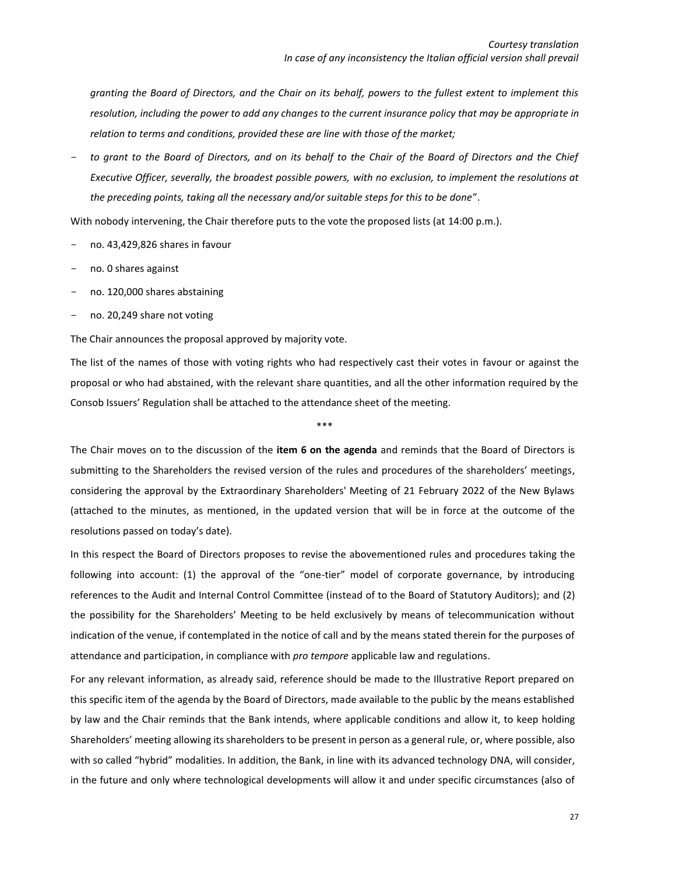*granting the Board of Directors, and the Chair on its behalf, powers to the fullest extent to implement this resolution, including the power to add any changes to the current insurance policy that may be appropriate in relation to terms and conditions, provided these are line with those of the market;*

- *to grant to the Board of Directors, and on its behalf to the Chair of the Board of Directors and the Chief Executive Officer, severally, the broadest possible powers, with no exclusion, to implement the resolutions at the preceding points, taking all the necessary and/or suitable steps for this to be done*".

With nobody intervening, the Chair therefore puts to the vote the proposed lists (at 14:00 p.m.).

- no. 43,429,826 shares in favour
- no. 0 shares against
- no. 120,000 shares abstaining
- no. 20,249 share not voting

The Chair announces the proposal approved by majority vote.

The list of the names of those with voting rights who had respectively cast their votes in favour or against the proposal or who had abstained, with the relevant share quantities, and all the other information required by the Consob Issuers' Regulation shall be attached to the attendance sheet of the meeting.

\*\*\*

The Chair moves on to the discussion of the **item 6 on the agenda** and reminds that the Board of Directors is submitting to the Shareholders the revised version of the rules and procedures of the shareholders' meetings, considering the approval by the Extraordinary Shareholders' Meeting of 21 February 2022 of the New Bylaws (attached to the minutes, as mentioned, in the updated version that will be in force at the outcome of the resolutions passed on today's date).

In this respect the Board of Directors proposes to revise the abovementioned rules and procedures taking the following into account: (1) the approval of the "one-tier" model of corporate governance, by introducing references to the Audit and Internal Control Committee (instead of to the Board of Statutory Auditors); and (2) the possibility for the Shareholders' Meeting to be held exclusively by means of telecommunication without indication of the venue, if contemplated in the notice of call and by the means stated therein for the purposes of attendance and participation, in compliance with *pro tempore* applicable law and regulations.

For any relevant information, as already said, reference should be made to the Illustrative Report prepared on this specific item of the agenda by the Board of Directors, made available to the public by the means established by law and the Chair reminds that the Bank intends, where applicable conditions and allow it, to keep holding Shareholders' meeting allowing its shareholders to be present in person as a general rule, or, where possible, also with so called "hybrid" modalities. In addition, the Bank, in line with its advanced technology DNA, will consider, in the future and only where technological developments will allow it and under specific circumstances (also of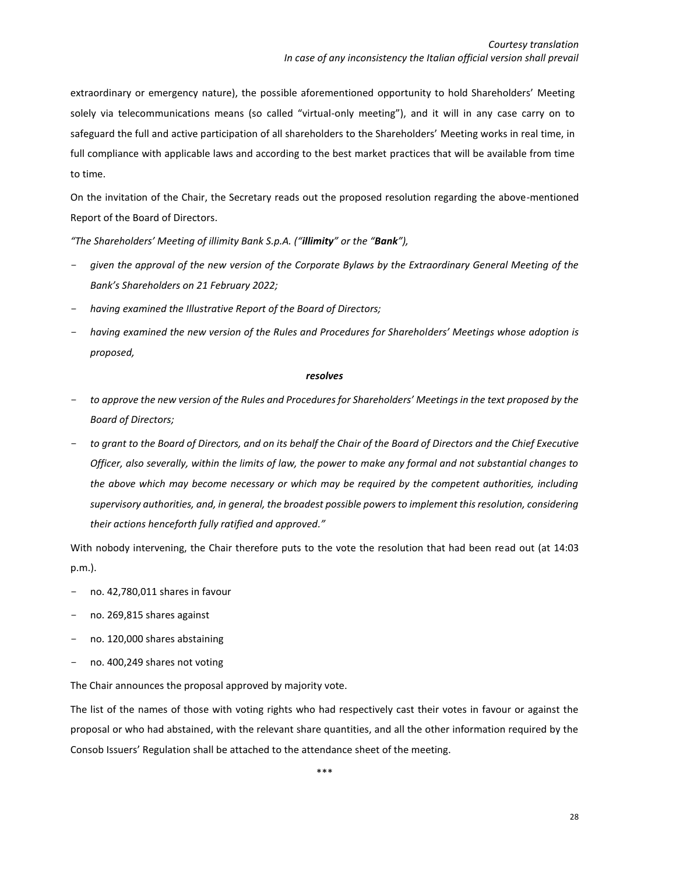extraordinary or emergency nature), the possible aforementioned opportunity to hold Shareholders' Meeting solely via telecommunications means (so called "virtual-only meeting"), and it will in any case carry on to safeguard the full and active participation of all shareholders to the Shareholders' Meeting works in real time, in full compliance with applicable laws and according to the best market practices that will be available from time to time.

On the invitation of the Chair, the Secretary reads out the proposed resolution regarding the above-mentioned Report of the Board of Directors.

*"The Shareholders' Meeting of illimity Bank S.p.A. ("illimity" or the "Bank"),*

- *given the approval of the new version of the Corporate Bylaws by the Extraordinary General Meeting of the Bank's Shareholders on 21 February 2022;*
- *having examined the Illustrative Report of the Board of Directors;*
- *having examined the new version of the Rules and Procedures for Shareholders' Meetings whose adoption is proposed,*

#### *resolves*

- *to approve the new version of the Rules and Procedures for Shareholders' Meetings in the text proposed by the Board of Directors;*
- *to grant to the Board of Directors, and on its behalf the Chair of the Board of Directors and the Chief Executive Officer, also severally, within the limits of law, the power to make any formal and not substantial changes to the above which may become necessary or which may be required by the competent authorities, including supervisory authorities, and, in general, the broadest possible powers to implement this resolution, considering their actions henceforth fully ratified and approved."*

With nobody intervening, the Chair therefore puts to the vote the resolution that had been read out (at 14:03 p.m.).

- no. 42,780,011 shares in favour
- no. 269,815 shares against
- no. 120,000 shares abstaining
- no. 400,249 shares not voting

The Chair announces the proposal approved by majority vote.

The list of the names of those with voting rights who had respectively cast their votes in favour or against the proposal or who had abstained, with the relevant share quantities, and all the other information required by the Consob Issuers' Regulation shall be attached to the attendance sheet of the meeting.

\*\*\*